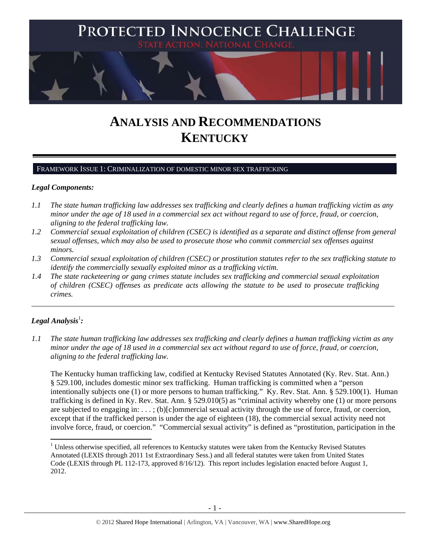

# **ANALYSIS AND RECOMMENDATIONS KENTUCKY**

## FRAMEWORK ISSUE 1: CRIMINALIZATION OF DOMESTIC MINOR SEX TRAFFICKING

## *Legal Components:*

- *1.1 The state human trafficking law addresses sex trafficking and clearly defines a human trafficking victim as any minor under the age of 18 used in a commercial sex act without regard to use of force, fraud, or coercion, aligning to the federal trafficking law.*
- *1.2 Commercial sexual exploitation of children (CSEC) is identified as a separate and distinct offense from general sexual offenses, which may also be used to prosecute those who commit commercial sex offenses against minors.*
- *1.3 Commercial sexual exploitation of children (CSEC) or prostitution statutes refer to the sex trafficking statute to identify the commercially sexually exploited minor as a trafficking victim.*

\_\_\_\_\_\_\_\_\_\_\_\_\_\_\_\_\_\_\_\_\_\_\_\_\_\_\_\_\_\_\_\_\_\_\_\_\_\_\_\_\_\_\_\_\_\_\_\_\_\_\_\_\_\_\_\_\_\_\_\_\_\_\_\_\_\_\_\_\_\_\_\_\_\_\_\_\_\_\_\_\_\_\_\_\_\_\_\_\_\_\_\_\_\_

*1.4 The state racketeering or gang crimes statute includes sex trafficking and commercial sexual exploitation of children (CSEC) offenses as predicate acts allowing the statute to be used to prosecute trafficking crimes.* 

# $\bm{\mathit{Legal\, Analysis^{\text{!}}:}}$

*1.1 The state human trafficking law addresses sex trafficking and clearly defines a human trafficking victim as any minor under the age of 18 used in a commercial sex act without regard to use of force, fraud, or coercion, aligning to the federal trafficking law.*

The Kentucky human trafficking law, codified at Kentucky Revised Statutes Annotated (Ky. Rev. Stat. Ann.) § 529.100, includes domestic minor sex trafficking. Human trafficking is committed when a "person intentionally subjects one (1) or more persons to human trafficking." Ky. Rev. Stat. Ann. § 529.100(1). Human trafficking is defined in Ky. Rev. Stat. Ann. § 529.010(5) as "criminal activity whereby one (1) or more persons are subjected to engaging in: . . . ; (b)[c]ommercial sexual activity through the use of force, fraud, or coercion, except that if the trafficked person is under the age of eighteen (18), the commercial sexual activity need not involve force, fraud, or coercion." "Commercial sexual activity" is defined as "prostitution, participation in the

 $1$  Unless otherwise specified, all references to Kentucky statutes were taken from the Kentucky Revised Statutes Annotated (LEXIS through 2011 1st Extraordinary Sess.) and all federal statutes were taken from United States Code (LEXIS through PL 112-173, approved 8/16/12). This report includes legislation enacted before August 1, 2012.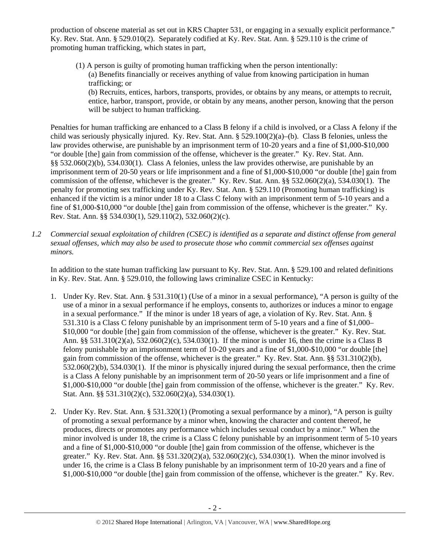production of obscene material as set out in KRS Chapter 531, or engaging in a sexually explicit performance." Ky. Rev. Stat. Ann. § 529.010(2). Separately codified at Ky. Rev. Stat. Ann. § 529.110 is the crime of promoting human trafficking, which states in part,

(1) A person is guilty of promoting human trafficking when the person intentionally: (a) Benefits financially or receives anything of value from knowing participation in human trafficking; or

(b) Recruits, entices, harbors, transports, provides, or obtains by any means, or attempts to recruit, entice, harbor, transport, provide, or obtain by any means, another person, knowing that the person will be subject to human trafficking.

Penalties for human trafficking are enhanced to a Class B felony if a child is involved, or a Class A felony if the child was seriously physically injured. Ky. Rev. Stat. Ann. § 529.100(2)(a)–(b). Class B felonies, unless the law provides otherwise, are punishable by an imprisonment term of 10-20 years and a fine of \$1,000-\$10,000 "or double [the] gain from commission of the offense, whichever is the greater." Ky. Rev. Stat. Ann. §§ 532.060(2)(b), 534.030(1). Class A felonies, unless the law provides otherwise, are punishable by an imprisonment term of 20-50 years or life imprisonment and a fine of \$1,000-\$10,000 "or double [the] gain from commission of the offense, whichever is the greater." Ky. Rev. Stat. Ann. §§ 532.060(2)(a), 534.030(1). The penalty for promoting sex trafficking under Ky. Rev. Stat. Ann. § 529.110 (Promoting human trafficking) is enhanced if the victim is a minor under 18 to a Class C felony with an imprisonment term of 5-10 years and a fine of \$1,000-\$10,000 "or double [the] gain from commission of the offense, whichever is the greater." Ky. Rev. Stat. Ann. §§ 534.030(1), 529.110(2), 532.060(2)(c).

*1.2 Commercial sexual exploitation of children (CSEC) is identified as a separate and distinct offense from general sexual offenses, which may also be used to prosecute those who commit commercial sex offenses against minors.*

In addition to the state human trafficking law pursuant to Ky. Rev. Stat. Ann. § 529.100 and related definitions in Ky. Rev. Stat. Ann. § 529.010, the following laws criminalize CSEC in Kentucky:

- 1. Under Ky. Rev. Stat. Ann. § 531.310(1) (Use of a minor in a sexual performance), "A person is guilty of the use of a minor in a sexual performance if he employs, consents to, authorizes or induces a minor to engage in a sexual performance." If the minor is under 18 years of age, a violation of Ky. Rev. Stat. Ann. § 531.310 is a Class C felony punishable by an imprisonment term of 5-10 years and a fine of \$1,000– \$10,000 "or double [the] gain from commission of the offense, whichever is the greater." Ky. Rev. Stat. Ann. §§ 531.310(2)(a), 532.060(2)(c), 534.030(1). If the minor is under 16, then the crime is a Class B felony punishable by an imprisonment term of 10-20 years and a fine of \$1,000-\$10,000 "or double [the] gain from commission of the offense, whichever is the greater." Ky. Rev. Stat. Ann. §§ 531.310(2)(b), 532.060(2)(b), 534.030(1). If the minor is physically injured during the sexual performance, then the crime is a Class A felony punishable by an imprisonment term of 20-50 years or life imprisonment and a fine of \$1,000-\$10,000 "or double [the] gain from commission of the offense, whichever is the greater." Ky. Rev. Stat. Ann. §§ 531.310(2)(c), 532.060(2)(a), 534.030(1).
- 2. Under Ky. Rev. Stat. Ann. § 531.320(1) (Promoting a sexual performance by a minor), "A person is guilty of promoting a sexual performance by a minor when, knowing the character and content thereof, he produces, directs or promotes any performance which includes sexual conduct by a minor." When the minor involved is under 18, the crime is a Class C felony punishable by an imprisonment term of 5-10 years and a fine of \$1,000-\$10,000 "or double [the] gain from commission of the offense, whichever is the greater." Ky. Rev. Stat. Ann. §§ 531.320(2)(a), 532.060(2)(c), 534.030(1). When the minor involved is under 16, the crime is a Class B felony punishable by an imprisonment term of 10-20 years and a fine of \$1,000-\$10,000 "or double [the] gain from commission of the offense, whichever is the greater." Ky. Rev.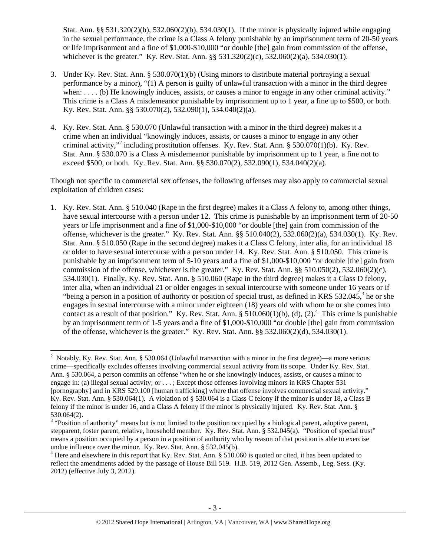Stat. Ann. §§ 531.320(2)(b), 532.060(2)(b), 534.030(1). If the minor is physically injured while engaging in the sexual performance, the crime is a Class A felony punishable by an imprisonment term of 20-50 years or life imprisonment and a fine of \$1,000-\$10,000 "or double [the] gain from commission of the offense, whichever is the greater." Ky. Rev. Stat. Ann. §§ 531.320(2)(c), 532.060(2)(a), 534.030(1).

- 3. Under Ky. Rev. Stat. Ann. § 530.070(1)(b) (Using minors to distribute material portraying a sexual performance by a minor), "(1) A person is guilty of unlawful transaction with a minor in the third degree when: . . . . (b) He knowingly induces, assists, or causes a minor to engage in any other criminal activity." This crime is a Class A misdemeanor punishable by imprisonment up to 1 year, a fine up to \$500, or both. Ky. Rev. Stat. Ann. §§ 530.070(2), 532.090(1), 534.040(2)(a).
- 4. Ky. Rev. Stat. Ann. § 530.070 (Unlawful transaction with a minor in the third degree) makes it a crime when an individual "knowingly induces, assists, or causes a minor to engage in any other criminal activity,"<sup>2</sup> including prostitution offenses. Ky. Rev. Stat. Ann. § 530.070(1)(b). Ky. Rev. Stat. Ann. § 530.070 is a Class A misdemeanor punishable by imprisonment up to 1 year, a fine not to exceed \$500, or both. Ky. Rev. Stat. Ann. §§ 530.070(2), 532.090(1), 534.040(2)(a).

Though not specific to commercial sex offenses, the following offenses may also apply to commercial sexual exploitation of children cases:

1. Ky. Rev. Stat. Ann. § 510.040 (Rape in the first degree) makes it a Class A felony to, among other things, have sexual intercourse with a person under 12. This crime is punishable by an imprisonment term of 20-50 years or life imprisonment and a fine of \$1,000-\$10,000 "or double [the] gain from commission of the offense, whichever is the greater." Ky. Rev. Stat. Ann. §§ 510.040(2), 532.060(2)(a), 534.030(1). Ky. Rev. Stat. Ann. § 510.050 (Rape in the second degree) makes it a Class C felony, inter alia, for an individual 18 or older to have sexual intercourse with a person under 14. Ky. Rev. Stat. Ann. § 510.050. This crime is punishable by an imprisonment term of 5-10 years and a fine of \$1,000-\$10,000 "or double [the] gain from commission of the offense, whichever is the greater." Ky. Rev. Stat. Ann. §§ 510.050(2), 532.060(2)(c), 534.030(1). Finally, Ky. Rev. Stat. Ann. § 510.060 (Rape in the third degree) makes it a Class D felony, inter alia, when an individual 21 or older engages in sexual intercourse with someone under 16 years or if "being a person in a position of authority or position of special trust, as defined in KRS  $532.045$ , he or she engages in sexual intercourse with a minor under eighteen (18) years old with whom he or she comes into contact as a result of that position." Ky. Rev. Stat. Ann.  $\S 510.060(1)(b)$ , (d), (2).<sup>4</sup> This crime is punishable by an imprisonment term of 1-5 years and a fine of \$1,000-\$10,000 "or double [the] gain from commission of the offense, whichever is the greater." Ky. Rev. Stat. Ann.  $\S$ § 532.060(2)(d), 534.030(1).

<sup>&</sup>lt;sup>2</sup> Notably, Ky. Rev. Stat. Ann. § 530.064 (Unlawful transaction with a minor in the first degree)—a more serious crime—specifically excludes offenses involving commercial sexual activity from its scope. Under Ky. Rev. Stat. Ann. § 530.064, a person commits an offense "when he or she knowingly induces, assists, or causes a minor to engage in: (a) illegal sexual activity; or . . . ; Except those offenses involving minors in KRS Chapter 531 [pornography] and in KRS 529.100 [human trafficking] where that offense involves commercial sexual activity." Ky. Rev. Stat. Ann. § 530.064(1). A violation of § 530.064 is a Class C felony if the minor is under 18, a Class B felony if the minor is under 16, and a Class A felony if the minor is physically injured. Ky. Rev. Stat. Ann. § 530.064(2).

 $3$  "Position of authority" means but is not limited to the position occupied by a biological parent, adoptive parent, stepparent, foster parent, relative, household member. Ky. Rev. Stat. Ann. § 532.045(a). "Position of special trust" means a position occupied by a person in a position of authority who by reason of that position is able to exercise undue influence over the minor. Ky. Rev. Stat. Ann. § 532.045(b).

 $4$  Here and elsewhere in this report that Ky. Rev. Stat. Ann. § 510.060 is quoted or cited, it has been updated to reflect the amendments added by the passage of House Bill 519. H.B. 519, 2012 Gen. Assemb., Leg. Sess. (Ky. 2012) (effective July 3, 2012).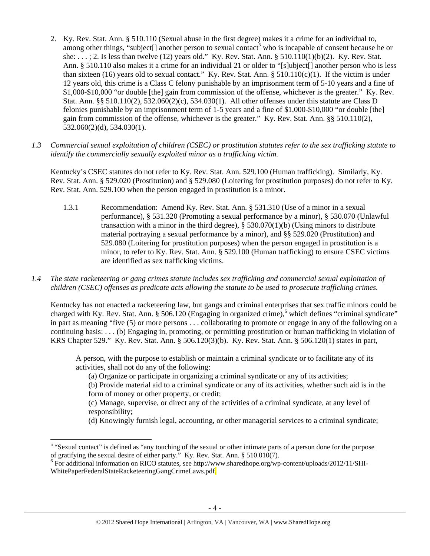- 2. Ky. Rev. Stat. Ann. § 510.110 (Sexual abuse in the first degree) makes it a crime for an individual to, among other things, "subject[] another person to sexual contact<sup>5</sup> who is incapable of consent because he or she: . . . ; 2. Is less than twelve (12) years old." Ky. Rev. Stat. Ann. § 510.110(1)(b)(2). Ky. Rev. Stat. Ann. § 510.110 also makes it a crime for an individual 21 or older to "[s]ubject[] another person who is less than sixteen (16) years old to sexual contact." Ky. Rev. Stat. Ann.  $\S 510.110(c)(1)$ . If the victim is under 12 years old, this crime is a Class C felony punishable by an imprisonment term of 5-10 years and a fine of \$1,000-\$10,000 "or double [the] gain from commission of the offense, whichever is the greater." Ky. Rev. Stat. Ann. §§ 510.110(2), 532.060(2)(c), 534.030(1). All other offenses under this statute are Class D felonies punishable by an imprisonment term of 1-5 years and a fine of \$1,000-\$10,000 "or double [the] gain from commission of the offense, whichever is the greater." Ky. Rev. Stat. Ann. §§ 510.110(2), 532.060(2)(d), 534.030(1).
- *1.3 Commercial sexual exploitation of children (CSEC) or prostitution statutes refer to the sex trafficking statute to identify the commercially sexually exploited minor as a trafficking victim.*

Kentucky's CSEC statutes do not refer to Ky. Rev. Stat. Ann. 529.100 (Human trafficking). Similarly, Ky. Rev. Stat. Ann. § 529.020 (Prostitution) and § 529.080 (Loitering for prostitution purposes) do not refer to Ky. Rev. Stat. Ann. 529.100 when the person engaged in prostitution is a minor.

- 1.3.1 Recommendation: Amend Ky. Rev. Stat. Ann. § 531.310 (Use of a minor in a sexual performance), § 531.320 (Promoting a sexual performance by a minor), § 530.070 (Unlawful transaction with a minor in the third degree),  $\S$  530.070(1)(b) (Using minors to distribute material portraying a sexual performance by a minor), and §§ 529.020 (Prostitution) and 529.080 (Loitering for prostitution purposes) when the person engaged in prostitution is a minor, to refer to Ky. Rev. Stat. Ann. § 529.100 (Human trafficking) to ensure CSEC victims are identified as sex trafficking victims.
- *1.4 The state racketeering or gang crimes statute includes sex trafficking and commercial sexual exploitation of children (CSEC) offenses as predicate acts allowing the statute to be used to prosecute trafficking crimes.*

Kentucky has not enacted a racketeering law, but gangs and criminal enterprises that sex traffic minors could be charged with Ky. Rev. Stat. Ann. § 506.120 (Engaging in organized crime),<sup>6</sup> which defines "criminal syndicate" in part as meaning "five (5) or more persons . . . collaborating to promote or engage in any of the following on a continuing basis: . . . (b) Engaging in, promoting, or permitting prostitution or human trafficking in violation of KRS Chapter 529." Ky. Rev. Stat. Ann. § 506.120(3)(b). Ky. Rev. Stat. Ann. § 506.120(1) states in part,

A person, with the purpose to establish or maintain a criminal syndicate or to facilitate any of its activities, shall not do any of the following:

(a) Organize or participate in organizing a criminal syndicate or any of its activities;

(b) Provide material aid to a criminal syndicate or any of its activities, whether such aid is in the form of money or other property, or credit;

(c) Manage, supervise, or direct any of the activities of a criminal syndicate, at any level of responsibility;

(d) Knowingly furnish legal, accounting, or other managerial services to a criminal syndicate;

<sup>&</sup>lt;sup>5</sup> "Sexual contact" is defined as "any touching of the sexual or other intimate parts of a person done for the purpose of gratifying the sexual desire of either party." Ky. Rev. Stat. Ann. § 510.010(7).<br><sup>6</sup> For additional information on RICO statutes, see http://www.sharedhope.org/wp-content/uploads/2012/11/SHI-

WhitePaperFederalStateRacketeeringGangCrimeLaws.pdf.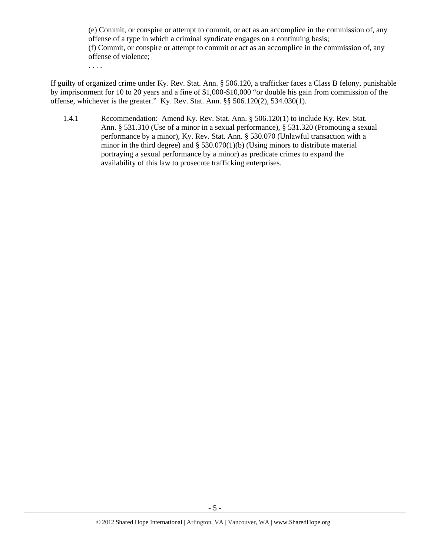(e) Commit, or conspire or attempt to commit, or act as an accomplice in the commission of, any offense of a type in which a criminal syndicate engages on a continuing basis; (f) Commit, or conspire or attempt to commit or act as an accomplice in the commission of, any offense of violence;

. . . .

If guilty of organized crime under Ky. Rev. Stat. Ann. § 506.120, a trafficker faces a Class B felony, punishable by imprisonment for 10 to 20 years and a fine of \$1,000-\$10,000 "or double his gain from commission of the offense, whichever is the greater." Ky. Rev. Stat. Ann. §§ 506.120(2), 534.030(1).

1.4.1 Recommendation: Amend Ky. Rev. Stat. Ann. § 506.120(1) to include Ky. Rev. Stat. Ann. § 531.310 (Use of a minor in a sexual performance), § 531.320 (Promoting a sexual performance by a minor), Ky. Rev. Stat. Ann. § 530.070 (Unlawful transaction with a minor in the third degree) and § 530.070(1)(b) (Using minors to distribute material portraying a sexual performance by a minor) as predicate crimes to expand the availability of this law to prosecute trafficking enterprises.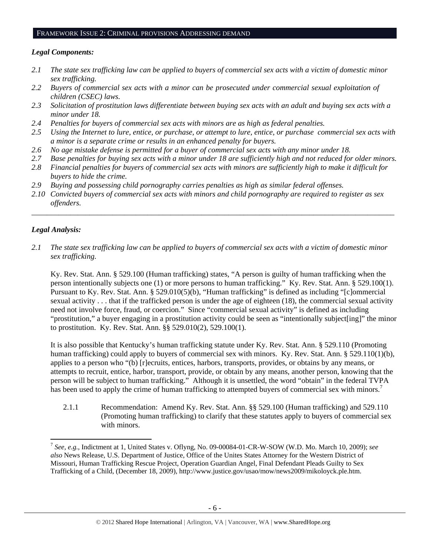# FRAMEWORK ISSUE 2: CRIMINAL PROVISIONS ADDRESSING DEMAND

# *Legal Components:*

- *2.1 The state sex trafficking law can be applied to buyers of commercial sex acts with a victim of domestic minor sex trafficking.*
- *2.2 Buyers of commercial sex acts with a minor can be prosecuted under commercial sexual exploitation of children (CSEC) laws.*
- *2.3 Solicitation of prostitution laws differentiate between buying sex acts with an adult and buying sex acts with a minor under 18.*
- *2.4 Penalties for buyers of commercial sex acts with minors are as high as federal penalties.*
- *2.5 Using the Internet to lure, entice, or purchase, or attempt to lure, entice, or purchase commercial sex acts with a minor is a separate crime or results in an enhanced penalty for buyers.*
- *2.6 No age mistake defense is permitted for a buyer of commercial sex acts with any minor under 18.*
- *2.7 Base penalties for buying sex acts with a minor under 18 are sufficiently high and not reduced for older minors.*
- *2.8 Financial penalties for buyers of commercial sex acts with minors are sufficiently high to make it difficult for buyers to hide the crime.*
- *2.9 Buying and possessing child pornography carries penalties as high as similar federal offenses.*
- *2.10 Convicted buyers of commercial sex acts with minors and child pornography are required to register as sex offenders.*

\_\_\_\_\_\_\_\_\_\_\_\_\_\_\_\_\_\_\_\_\_\_\_\_\_\_\_\_\_\_\_\_\_\_\_\_\_\_\_\_\_\_\_\_\_\_\_\_\_\_\_\_\_\_\_\_\_\_\_\_\_\_\_\_\_\_\_\_\_\_\_\_\_\_\_\_\_\_\_\_\_\_\_\_\_\_\_\_\_\_\_\_\_\_

# *Legal Analysis:*

*2.1 The state sex trafficking law can be applied to buyers of commercial sex acts with a victim of domestic minor sex trafficking.* 

Ky. Rev. Stat. Ann. § 529.100 (Human trafficking) states, "A person is guilty of human trafficking when the person intentionally subjects one (1) or more persons to human trafficking." Ky. Rev. Stat. Ann. § 529.100(1). Pursuant to Ky. Rev. Stat. Ann. § 529.010(5)(b), "Human trafficking" is defined as including "[c]ommercial sexual activity . . . that if the trafficked person is under the age of eighteen (18), the commercial sexual activity need not involve force, fraud, or coercion." Since "commercial sexual activity" is defined as including "prostitution," a buyer engaging in a prostitution activity could be seen as "intentionally subject[ing]" the minor to prostitution. Ky. Rev. Stat. Ann. §§ 529.010(2), 529.100(1).

It is also possible that Kentucky's human trafficking statute under Ky. Rev. Stat. Ann. § 529.110 (Promoting human trafficking) could apply to buyers of commercial sex with minors. Ky. Rev. Stat. Ann. § 529.110(1)(b), applies to a person who "(b) [r]ecruits, entices, harbors, transports, provides, or obtains by any means, or attempts to recruit, entice, harbor, transport, provide, or obtain by any means, another person, knowing that the person will be subject to human trafficking." Although it is unsettled, the word "obtain" in the federal TVPA has been used to apply the crime of human trafficking to attempted buyers of commercial sex with minors.<sup>7</sup>

2.1.1 Recommendation: Amend Ky. Rev. Stat. Ann. §§ 529.100 (Human trafficking) and 529.110 (Promoting human trafficking) to clarify that these statutes apply to buyers of commercial sex with minors.

<sup>7</sup> *See, e.g.*, Indictment at 1, United States v. Oflyng, No. 09-00084-01-CR-W-SOW (W.D. Mo. March 10, 2009); *see also* News Release, U.S. Department of Justice, Office of the Unites States Attorney for the Western District of Missouri, Human Trafficking Rescue Project, Operation Guardian Angel, Final Defendant Pleads Guilty to Sex Trafficking of a Child, (December 18, 2009), http://www.justice.gov/usao/mow/news2009/mikoloyck.ple.htm.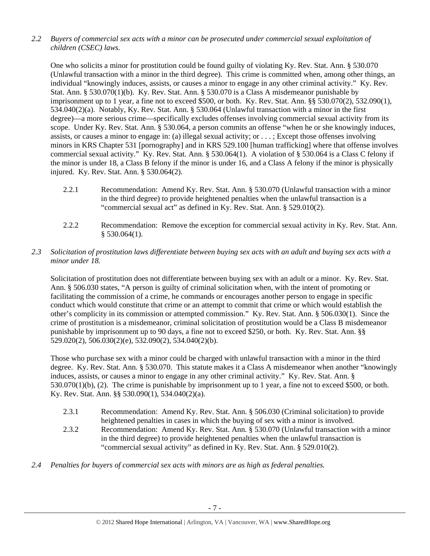*2.2 Buyers of commercial sex acts with a minor can be prosecuted under commercial sexual exploitation of children (CSEC) laws.* 

One who solicits a minor for prostitution could be found guilty of violating Ky. Rev. Stat. Ann. § 530.070 (Unlawful transaction with a minor in the third degree). This crime is committed when, among other things, an individual "knowingly induces, assists, or causes a minor to engage in any other criminal activity." Ky. Rev. Stat. Ann. § 530.070(1)(b). Ky. Rev. Stat. Ann. § 530.070 is a Class A misdemeanor punishable by imprisonment up to 1 year, a fine not to exceed \$500, or both. Ky. Rev. Stat. Ann. §§ 530.070(2), 532.090(1), 534.040(2)(a). Notably, Ky. Rev. Stat. Ann. § 530.064 (Unlawful transaction with a minor in the first degree)—a more serious crime—specifically excludes offenses involving commercial sexual activity from its scope. Under Ky. Rev. Stat. Ann. § 530.064, a person commits an offense "when he or she knowingly induces, assists, or causes a minor to engage in: (a) illegal sexual activity; or . . . ; Except those offenses involving minors in KRS Chapter 531 [pornography] and in KRS 529.100 [human trafficking] where that offense involves commercial sexual activity." Ky. Rev. Stat. Ann. § 530.064(1). A violation of § 530.064 is a Class C felony if the minor is under 18, a Class B felony if the minor is under 16, and a Class A felony if the minor is physically injured. Ky. Rev. Stat. Ann. § 530.064(2).

- 2.2.1 Recommendation: Amend Ky. Rev. Stat. Ann. § 530.070 (Unlawful transaction with a minor in the third degree) to provide heightened penalties when the unlawful transaction is a "commercial sexual act" as defined in Ky. Rev. Stat. Ann. § 529.010(2).
- 2.2.2 Recommendation: Remove the exception for commercial sexual activity in Ky. Rev. Stat. Ann. § 530.064(1).
- *2.3 Solicitation of prostitution laws differentiate between buying sex acts with an adult and buying sex acts with a minor under 18.*

Solicitation of prostitution does not differentiate between buying sex with an adult or a minor. Ky. Rev. Stat. Ann. § 506.030 states, "A person is guilty of criminal solicitation when, with the intent of promoting or facilitating the commission of a crime, he commands or encourages another person to engage in specific conduct which would constitute that crime or an attempt to commit that crime or which would establish the other's complicity in its commission or attempted commission." Ky. Rev. Stat. Ann. § 506.030(1). Since the crime of prostitution is a misdemeanor, criminal solicitation of prostitution would be a Class B misdemeanor punishable by imprisonment up to 90 days, a fine not to exceed \$250, or both. Ky. Rev. Stat. Ann. §§ 529.020(2), 506.030(2)(e), 532.090(2), 534.040(2)(b).

Those who purchase sex with a minor could be charged with unlawful transaction with a minor in the third degree. Ky. Rev. Stat. Ann. § 530.070. This statute makes it a Class A misdemeanor when another "knowingly induces, assists, or causes a minor to engage in any other criminal activity." Ky. Rev. Stat. Ann. § 530.070(1)(b), (2). The crime is punishable by imprisonment up to 1 year, a fine not to exceed \$500, or both. Ky. Rev. Stat. Ann. §§ 530.090(1), 534.040(2)(a).

- 2.3.1 Recommendation: Amend Ky. Rev. Stat. Ann. § 506.030 (Criminal solicitation) to provide heightened penalties in cases in which the buying of sex with a minor is involved.
- 2.3.2 Recommendation: Amend Ky. Rev. Stat. Ann. § 530.070 (Unlawful transaction with a minor in the third degree) to provide heightened penalties when the unlawful transaction is "commercial sexual activity" as defined in Ky. Rev. Stat. Ann. § 529.010(2).
- *2.4 Penalties for buyers of commercial sex acts with minors are as high as federal penalties.*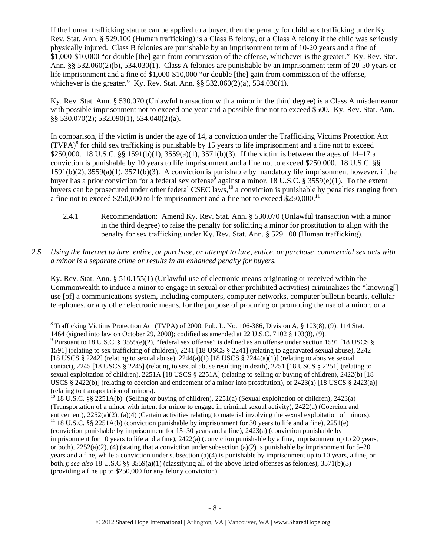If the human trafficking statute can be applied to a buyer, then the penalty for child sex trafficking under Ky. Rev. Stat. Ann. § 529.100 (Human trafficking) is a Class B felony, or a Class A felony if the child was seriously physically injured. Class B felonies are punishable by an imprisonment term of 10-20 years and a fine of \$1,000-\$10,000 "or double [the] gain from commission of the offense, whichever is the greater." Ky. Rev. Stat. Ann. §§ 532.060(2)(b), 534.030(1). Class A felonies are punishable by an imprisonment term of 20-50 years or life imprisonment and a fine of \$1,000-\$10,000 "or double [the] gain from commission of the offense, whichever is the greater." Ky. Rev. Stat. Ann. §§ 532.060(2)(a), 534.030(1).

Ky. Rev. Stat. Ann. § 530.070 (Unlawful transaction with a minor in the third degree) is a Class A misdemeanor with possible imprisonment not to exceed one year and a possible fine not to exceed \$500. Ky, Rev. Stat. Ann. §§ 530.070(2); 532.090(1), 534.040(2)(a).

In comparison, if the victim is under the age of 14, a conviction under the Trafficking Victims Protection Act  $(TVPA)^{8}$  for child sex trafficking is punishable by 15 years to life imprisonment and a fine not to exceed \$250,000. 18 U.S.C. §§ 1591(b)(1), 3559(a)(1), 3571(b)(3). If the victim is between the ages of 14–17 a conviction is punishable by 10 years to life imprisonment and a fine not to exceed \$250,000. 18 U.S.C. §§ 1591(b)(2), 3559(a)(1), 3571(b)(3). A conviction is punishable by mandatory life imprisonment however, if the buyer has a prior conviction for a federal sex offense<sup>9</sup> against a minor. 18 U.S.C. § 3559(e)(1). To the extent buyers can be prosecuted under other federal CSEC laws,  $^{10}$  a conviction is punishable by penalties ranging from a fine not to exceed \$250,000 to life imprisonment and a fine not to exceed \$250,000.11

- 2.4.1 Recommendation: Amend Ky. Rev. Stat. Ann. § 530.070 (Unlawful transaction with a minor in the third degree) to raise the penalty for soliciting a minor for prostitution to align with the penalty for sex trafficking under Ky. Rev. Stat. Ann. § 529.100 (Human trafficking).
- *2.5 Using the Internet to lure, entice, or purchase, or attempt to lure, entice, or purchase commercial sex acts with a minor is a separate crime or results in an enhanced penalty for buyers.*

Ky. Rev. Stat. Ann. § 510.155(1) (Unlawful use of electronic means originating or received within the Commonwealth to induce a minor to engage in sexual or other prohibited activities) criminalizes the "knowing[] use [of] a communications system, including computers, computer networks, computer bulletin boards, cellular telephones, or any other electronic means, for the purpose of procuring or promoting the use of a minor, or a

 $8$  Trafficking Victims Protection Act (TVPA) of 2000, Pub. L. No. 106-386, Division A,  $\S$  103(8), (9), 114 Stat. 1464 (signed into law on October 29, 2000); codified as amended at 22 U.S.C. 7102 § 103(8), (9).

<sup>&</sup>lt;sup>9</sup> Pursuant to 18 U.S.C. § 3559(e)(2), "federal sex offense" is defined as an offense under section 1591 [18 USCS § 1591] (relating to sex trafficking of children), 2241 [18 USCS § 2241] (relating to aggravated sexual abuse), 2242 [18 USCS § 2242] (relating to sexual abuse),  $2244(a)(1)$  [18 USCS § 2244(a)(1)] (relating to abusive sexual contact), 2245 [18 USCS § 2245] (relating to sexual abuse resulting in death), 2251 [18 USCS § 2251] (relating to sexual exploitation of children), 2251A [18 USCS § 2251A] (relating to selling or buying of children), 2422(b) [18 USCS § 2422(b)] (relating to coercion and enticement of a minor into prostitution), or 2423(a) [18 USCS § 2423(a)] (relating to transportation of minors).<br><sup>10</sup> 18 U.S.C. §§ 2251A(b) (Selling or buying of children), 2251(a) (Sexual exploitation of children), 2423(a)

<sup>(</sup>Transportation of a minor with intent for minor to engage in criminal sexual activity), 2422(a) (Coercion and enticement),  $2252(a)(2)$ ,  $(a)(4)$  (Certain activities relating to material involving the sexual exploitation of minors).<br><sup>11</sup> 18 U.S.C. §§ 2251A(b) (conviction punishable by imprisonment for 30 years to life and a fine), 22 (conviction punishable by imprisonment for 15–30 years and a fine), 2423(a) (conviction punishable by imprisonment for 10 years to life and a fine), 2422(a) (conviction punishable by a fine, imprisonment up to 20 years, or both),  $2252(a)(2)$ , (4) (stating that a conviction under subsection (a)(2) is punishable by imprisonment for 5–20 years and a fine, while a conviction under subsection (a)(4) is punishable by imprisonment up to 10 years, a fine, or both.); *see also* 18 U.S.C §§ 3559(a)(1) (classifying all of the above listed offenses as felonies), 3571(b)(3) (providing a fine up to \$250,000 for any felony conviction).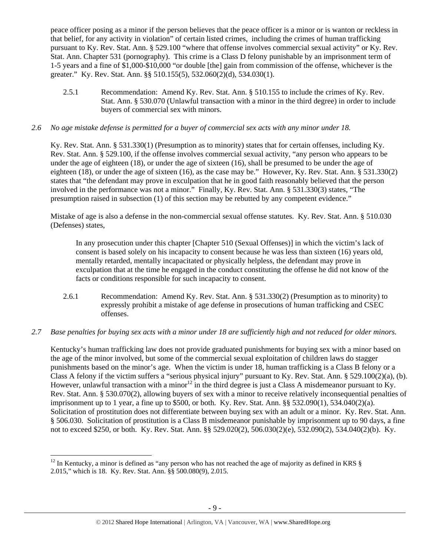peace officer posing as a minor if the person believes that the peace officer is a minor or is wanton or reckless in that belief, for any activity in violation" of certain listed crimes, including the crimes of human trafficking pursuant to Ky. Rev. Stat. Ann. § 529.100 "where that offense involves commercial sexual activity" or Ky. Rev. Stat. Ann. Chapter 531 (pornography). This crime is a Class D felony punishable by an imprisonment term of 1-5 years and a fine of \$1,000-\$10,000 "or double [the] gain from commission of the offense, whichever is the greater." Ky. Rev. Stat. Ann. §§ 510.155(5), 532.060(2)(d), 534.030(1).

2.5.1 Recommendation: Amend Ky. Rev. Stat. Ann. § 510.155 to include the crimes of Ky. Rev. Stat. Ann. § 530.070 (Unlawful transaction with a minor in the third degree) in order to include buyers of commercial sex with minors.

## *2.6 No age mistake defense is permitted for a buyer of commercial sex acts with any minor under 18.*

Ky. Rev. Stat. Ann. § 531.330(1) (Presumption as to minority) states that for certain offenses, including Ky. Rev. Stat. Ann. § 529.100, if the offense involves commercial sexual activity, "any person who appears to be under the age of eighteen (18), or under the age of sixteen (16), shall be presumed to be under the age of eighteen (18), or under the age of sixteen (16), as the case may be." However, Ky. Rev. Stat. Ann. § 531.330(2) states that "the defendant may prove in exculpation that he in good faith reasonably believed that the person involved in the performance was not a minor." Finally, Ky. Rev. Stat. Ann. § 531.330(3) states, "The presumption raised in subsection (1) of this section may be rebutted by any competent evidence."

Mistake of age is also a defense in the non-commercial sexual offense statutes. Ky. Rev. Stat. Ann. § 510.030 (Defenses) states,

In any prosecution under this chapter [Chapter 510 (Sexual Offenses)] in which the victim's lack of consent is based solely on his incapacity to consent because he was less than sixteen (16) years old, mentally retarded, mentally incapacitated or physically helpless, the defendant may prove in exculpation that at the time he engaged in the conduct constituting the offense he did not know of the facts or conditions responsible for such incapacity to consent.

2.6.1 Recommendation: Amend Ky. Rev. Stat. Ann. § 531.330(2) (Presumption as to minority) to expressly prohibit a mistake of age defense in prosecutions of human trafficking and CSEC offenses.

## *2.7 Base penalties for buying sex acts with a minor under 18 are sufficiently high and not reduced for older minors.*

Kentucky's human trafficking law does not provide graduated punishments for buying sex with a minor based on the age of the minor involved, but some of the commercial sexual exploitation of children laws do stagger punishments based on the minor's age. When the victim is under 18, human trafficking is a Class B felony or a Class A felony if the victim suffers a "serious physical injury" pursuant to Ky. Rev. Stat. Ann. § 529.100(2)(a), (b). However, unlawful transaction with a minor<sup>12</sup> in the third degree is just a Class A misdemeanor pursuant to Ky. Rev. Stat. Ann. § 530.070(2), allowing buyers of sex with a minor to receive relatively inconsequential penalties of imprisonment up to 1 year, a fine up to \$500, or both. Ky. Rev. Stat. Ann. §§ 532.090(1), 534.040(2)(a). Solicitation of prostitution does not differentiate between buying sex with an adult or a minor. Ky. Rev. Stat. Ann. § 506.030. Solicitation of prostitution is a Class B misdemeanor punishable by imprisonment up to 90 days, a fine not to exceed \$250, or both. Ky. Rev. Stat. Ann. §§ 529.020(2), 506.030(2)(e), 532.090(2), 534.040(2)(b). Ky.

 $12$  In Kentucky, a minor is defined as "any person who has not reached the age of majority as defined in KRS  $\S$ 2.015," which is 18. Ky. Rev. Stat. Ann. §§ 500.080(9), 2.015.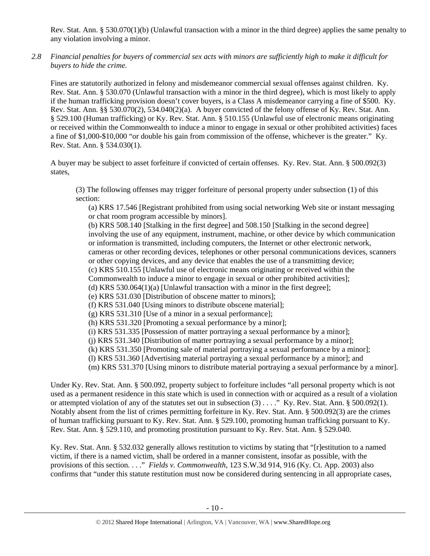Rev. Stat. Ann. § 530.070(1)(b) (Unlawful transaction with a minor in the third degree) applies the same penalty to any violation involving a minor.

*2.8 Financial penalties for buyers of commercial sex acts with minors are sufficiently high to make it difficult for buyers to hide the crime.* 

Fines are statutorily authorized in felony and misdemeanor commercial sexual offenses against children. Ky. Rev. Stat. Ann. § 530.070 (Unlawful transaction with a minor in the third degree), which is most likely to apply if the human trafficking provision doesn't cover buyers, is a Class A misdemeanor carrying a fine of \$500. Ky. Rev. Stat. Ann. §§ 530.070(2), 534.040(2)(a). A buyer convicted of the felony offense of Ky. Rev. Stat. Ann. § 529.100 (Human trafficking) or Ky. Rev. Stat. Ann. § 510.155 (Unlawful use of electronic means originating or received within the Commonwealth to induce a minor to engage in sexual or other prohibited activities) faces a fine of \$1,000-\$10,000 "or double his gain from commission of the offense, whichever is the greater." Ky. Rev. Stat. Ann. § 534.030(1).

A buyer may be subject to asset forfeiture if convicted of certain offenses. Ky. Rev. Stat. Ann. § 500.092(3) states,

(3) The following offenses may trigger forfeiture of personal property under subsection (1) of this section:

(a) KRS 17.546 [Registrant prohibited from using social networking Web site or instant messaging or chat room program accessible by minors].

(b) KRS 508.140 [Stalking in the first degree] and 508.150 [Stalking in the second degree] involving the use of any equipment, instrument, machine, or other device by which communication or information is transmitted, including computers, the Internet or other electronic network, cameras or other recording devices, telephones or other personal communications devices, scanners or other copying devices, and any device that enables the use of a transmitting device; (c) KRS 510.155 [Unlawful use of electronic means originating or received within the Commonwealth to induce a minor to engage in sexual or other prohibited activities]; (d) KRS 530.064(1)(a) [Unlawful transaction with a minor in the first degree]; (e) KRS 531.030 [Distribution of obscene matter to minors]; (f) KRS 531.040 [Using minors to distribute obscene material]; (g) KRS 531.310 [Use of a minor in a sexual performance]; (h) KRS 531.320 [Promoting a sexual performance by a minor]; (i) KRS 531.335 [Possession of matter portraying a sexual performance by a minor]; (j) KRS 531.340 [Distribution of matter portraying a sexual performance by a minor]; (k) KRS 531.350 [Promoting sale of material portraying a sexual performance by a minor]; (l) KRS 531.360 [Advertising material portraying a sexual performance by a minor]; and (m) KRS 531.370 [Using minors to distribute material portraying a sexual performance by a minor].

Under Ky. Rev. Stat. Ann. § 500.092, property subject to forfeiture includes "all personal property which is not used as a permanent residence in this state which is used in connection with or acquired as a result of a violation or attempted violation of any of the statutes set out in subsection  $(3)$ ...." Ky. Rev. Stat. Ann. § 500.092(1). Notably absent from the list of crimes permitting forfeiture in Ky. Rev. Stat. Ann. § 500.092(3) are the crimes of human trafficking pursuant to Ky. Rev. Stat. Ann. § 529.100, promoting human trafficking pursuant to Ky. Rev. Stat. Ann. § 529.110, and promoting prostitution pursuant to Ky. Rev. Stat. Ann. § 529.040.

Ky. Rev. Stat. Ann. § 532.032 generally allows restitution to victims by stating that "[r]estitution to a named victim, if there is a named victim, shall be ordered in a manner consistent, insofar as possible, with the provisions of this section. . . ." *Fields v. Commonwealth*, 123 S.W.3d 914, 916 (Ky. Ct. App. 2003) also confirms that "under this statute restitution must now be considered during sentencing in all appropriate cases,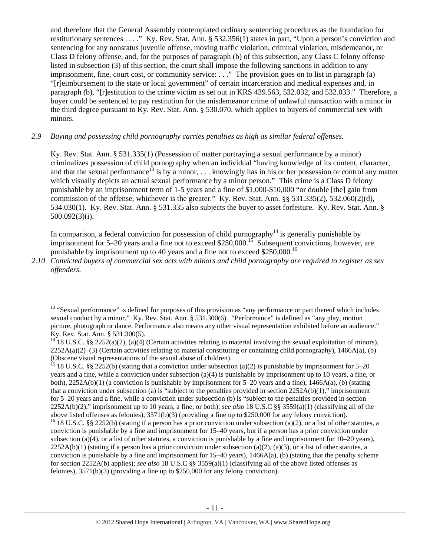and therefore that the General Assembly contemplated ordinary sentencing procedures as the foundation for restitutionary sentences . . . ." Ky. Rev. Stat. Ann. § 532.356(1) states in part, "Upon a person's conviction and sentencing for any nonstatus juvenile offense, moving traffic violation, criminal violation, misdemeanor, or Class D felony offense, and, for the purposes of paragraph (b) of this subsection, any Class C felony offense listed in subsection (3) of this section, the court shall impose the following sanctions in addition to any imprisonment, fine, court cost, or community service: . . ." The provision goes on to list in paragraph (a) "[r]eimbursement to the state or local government" of certain incarceration and medical expenses and, in paragraph (b), "[r]estitution to the crime victim as set out in KRS 439.563, 532.032, and 532.033." Therefore, a buyer could be sentenced to pay restitution for the misdemeanor crime of unlawful transaction with a minor in the third degree pursuant to Ky. Rev. Stat. Ann. § 530.070, which applies to buyers of commercial sex with minors.

### *2.9 Buying and possessing child pornography carries penalties as high as similar federal offenses.*

Ky. Rev. Stat. Ann. § 531.335(1) (Possession of matter portraying a sexual performance by a minor) criminalizes possession of child pornography when an individual "having knowledge of its content, character, and that the sexual performance<sup>13</sup> is by a minor, ... knowingly has in his or her possession or control any matter which visually depicts an actual sexual performance by a minor person." This crime is a Class D felony punishable by an imprisonment term of 1-5 years and a fine of \$1,000-\$10,000 "or double [the] gain from commission of the offense, whichever is the greater." Ky. Rev. Stat. Ann. §§ 531.335(2), 532.060(2)(d), 534.030(1). Ky. Rev. Stat. Ann. § 531.335 also subjects the buyer to asset forfeiture. Ky. Rev. Stat. Ann. § 500.092(3)(i).

In comparison, a federal conviction for possession of child pornography<sup>14</sup> is generally punishable by imprisonment for 5–20 years and a fine not to exceed \$250,000.<sup>15</sup> Subsequent convictions, however, are punishable by imprisonment up to 40 years and a fine not to exceed \$250,000.16

*2.10 Convicted buyers of commercial sex acts with minors and child pornography are required to register as sex offenders.*

<sup>&</sup>lt;sup>13</sup> "Sexual performance" is defined for purposes of this provision as "any performance or part thereof which includes sexual conduct by a minor." Ky. Rev. Stat. Ann. § 531.300(6). "Performance" is defined as "any play, motion picture, photograph or dance. Performance also means any other visual representation exhibited before an audience." Ky. Rev. Stat. Ann. § 531.300(5).

<sup>&</sup>lt;sup>14</sup> 18 U.S.C. §§ 2252(a)(2), (a)(4) (Certain activities relating to material involving the sexual exploitation of minors),  $2252A(a)(2)$ –(3) (Certain activities relating to material constituting or containing child pornography), 1466A(a), (b) (Obscene visual representations of the sexual abuse of children).

<sup>&</sup>lt;sup>15</sup> 18 U.S.C. §§ 2252(b) (stating that a conviction under subsection (a)(2) is punishable by imprisonment for 5–20 years and a fine, while a conviction under subsection (a)(4) is punishable by imprisonment up to 10 years, a fine, or both), 2252A(b)(1) (a conviction is punishable by imprisonment for 5–20 years and a fine), 1466A(a), (b) (stating that a conviction under subsection (a) is "subject to the penalties provided in section  $2252A(b)(1)$ ," imprisonment for 5–20 years and a fine, while a conviction under subsection (b) is "subject to the penalties provided in section 2252A(b)(2)," imprisonment up to 10 years, a fine, or both); *see also* 18 U.S.C §§ 3559(a)(1) (classifying all of the above listed offenses as felonies), 3571(b)(3) (providing a fine up to \$250,000 for any felony conviction). <sup>16</sup> 18 U.S.C. §§ 2252(b) (stating if a person has a prior conviction under subsection (a)(2), or a list of other statutes, a conviction is punishable by a fine and imprisonment for 15–40 years, but if a person has a prior conviction under subsection (a)(4), or a list of other statutes, a conviction is punishable by a fine and imprisonment for  $10-20$  years),  $2252A(b)(1)$  (stating if a person has a prior conviction under subsection (a)(2), (a)(3), or a list of other statutes, a conviction is punishable by a fine and imprisonment for  $15-40$  years),  $1466A(a)$ , (b) (stating that the penalty scheme for section 2252A(b) applies); *see also* 18 U.S.C §§ 3559(a)(1) (classifying all of the above listed offenses as felonies), 3571(b)(3) (providing a fine up to \$250,000 for any felony conviction).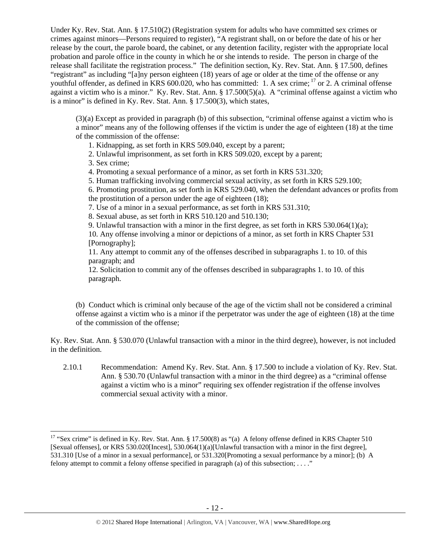Under Ky. Rev. Stat. Ann. § 17.510(2) (Registration system for adults who have committed sex crimes or crimes against minors—Persons required to register), "A registrant shall, on or before the date of his or her release by the court, the parole board, the cabinet, or any detention facility, register with the appropriate local probation and parole office in the county in which he or she intends to reside. The person in charge of the release shall facilitate the registration process." The definition section, Ky. Rev. Stat. Ann. § 17.500, defines "registrant" as including "[a]ny person eighteen (18) years of age or older at the time of the offense or any youthful offender, as defined in KRS 600.020, who has committed: 1. A sex crime; 17 or 2. A criminal offense against a victim who is a minor." Ky. Rev. Stat. Ann.  $\S 17.500(5)(a)$ . A "criminal offense against a victim who is a minor" is defined in Ky. Rev. Stat. Ann. § 17.500(3), which states,

(3)(a) Except as provided in paragraph (b) of this subsection, "criminal offense against a victim who is a minor" means any of the following offenses if the victim is under the age of eighteen (18) at the time of the commission of the offense:

1. Kidnapping, as set forth in KRS 509.040, except by a parent;

2. Unlawful imprisonment, as set forth in KRS 509.020, except by a parent;

3. Sex crime;

4. Promoting a sexual performance of a minor, as set forth in KRS 531.320;

5. Human trafficking involving commercial sexual activity, as set forth in KRS 529.100;

6. Promoting prostitution, as set forth in KRS 529.040, when the defendant advances or profits from the prostitution of a person under the age of eighteen (18);

7. Use of a minor in a sexual performance, as set forth in KRS 531.310;

8. Sexual abuse, as set forth in KRS 510.120 and 510.130;

9. Unlawful transaction with a minor in the first degree, as set forth in KRS 530.064(1)(a);

10. Any offense involving a minor or depictions of a minor, as set forth in KRS Chapter 531 [Pornography];

11. Any attempt to commit any of the offenses described in subparagraphs 1. to 10. of this paragraph; and

12. Solicitation to commit any of the offenses described in subparagraphs 1. to 10. of this paragraph.

(b) Conduct which is criminal only because of the age of the victim shall not be considered a criminal offense against a victim who is a minor if the perpetrator was under the age of eighteen (18) at the time of the commission of the offense;

Ky. Rev. Stat. Ann. § 530.070 (Unlawful transaction with a minor in the third degree), however, is not included in the definition.

2.10.1 Recommendation: Amend Ky. Rev. Stat. Ann. § 17.500 to include a violation of Ky. Rev. Stat. Ann. § 530.70 (Unlawful transaction with a minor in the third degree) as a "criminal offense against a victim who is a minor" requiring sex offender registration if the offense involves commercial sexual activity with a minor.

<sup>&</sup>lt;sup>17</sup> "Sex crime" is defined in Ky. Rev. Stat. Ann. § 17.500(8) as "(a) A felony offense defined in KRS Chapter 510 [Sexual offenses], or KRS 530.020[Incest], 530.064(1)(a)[Unlawful transaction with a minor in the first degree], 531.310 [Use of a minor in a sexual performance], or 531.320[Promoting a sexual performance by a minor]; (b) A felony attempt to commit a felony offense specified in paragraph (a) of this subsection; . . . ."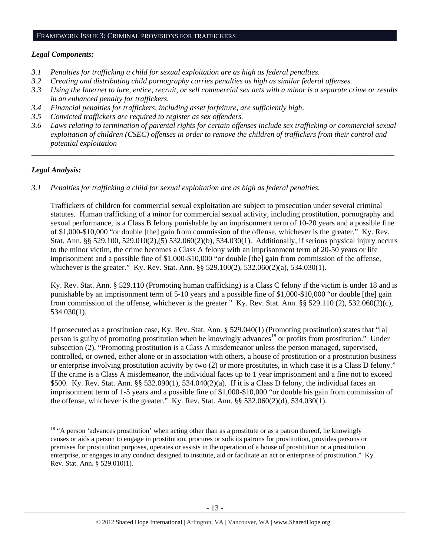#### FRAMEWORK ISSUE 3: CRIMINAL PROVISIONS FOR TRAFFICKERS

#### *Legal Components:*

- *3.1 Penalties for trafficking a child for sexual exploitation are as high as federal penalties.*
- *3.2 Creating and distributing child pornography carries penalties as high as similar federal offenses.*
- *3.3 Using the Internet to lure, entice, recruit, or sell commercial sex acts with a minor is a separate crime or results in an enhanced penalty for traffickers.*
- *3.4 Financial penalties for traffickers, including asset forfeiture, are sufficiently high*.
- *3.5 Convicted traffickers are required to register as sex offenders.*
- *3.6 Laws relating to termination of parental rights for certain offenses include sex trafficking or commercial sexual exploitation of children (CSEC) offenses in order to remove the children of traffickers from their control and potential exploitation*

*\_\_\_\_\_\_\_\_\_\_\_\_\_\_\_\_\_\_\_\_\_\_\_\_\_\_\_\_\_\_\_\_\_\_\_\_\_\_\_\_\_\_\_\_\_\_\_\_\_\_\_\_\_\_\_\_\_\_\_\_\_\_\_\_\_\_\_\_\_\_\_\_\_\_\_\_\_\_\_\_\_\_\_\_\_\_\_\_\_\_\_\_\_\_* 

## *Legal Analysis:*

*3.1 Penalties for trafficking a child for sexual exploitation are as high as federal penalties.* 

Traffickers of children for commercial sexual exploitation are subject to prosecution under several criminal statutes. Human trafficking of a minor for commercial sexual activity, including prostitution, pornography and sexual performance, is a Class B felony punishable by an imprisonment term of 10-20 years and a possible fine of \$1,000-\$10,000 "or double [the] gain from commission of the offense, whichever is the greater." Ky. Rev. Stat. Ann. §§ 529.100, 529.010(2),(5) 532.060(2)(b), 534.030(1). Additionally, if serious physical injury occurs to the minor victim, the crime becomes a Class A felony with an imprisonment term of 20-50 years or life imprisonment and a possible fine of \$1,000-\$10,000 "or double [the] gain from commission of the offense, whichever is the greater." Ky. Rev. Stat. Ann. §§ 529.100(2), 532.060(2)(a), 534.030(1).

Ky. Rev. Stat. Ann. § 529.110 (Promoting human trafficking) is a Class C felony if the victim is under 18 and is punishable by an imprisonment term of 5-10 years and a possible fine of \$1,000-\$10,000 "or double [the] gain from commission of the offense, whichever is the greater." Ky. Rev. Stat. Ann. §§ 529.110 (2), 532.060(2)(c), 534.030(1).

If prosecuted as a prostitution case, Ky. Rev. Stat. Ann. § 529.040(1) (Promoting prostitution) states that "[a] person is guilty of promoting prostitution when he knowingly advances<sup>18</sup> or profits from prostitution." Under subsection (2), "Promoting prostitution is a Class A misdemeanor unless the person managed, supervised, controlled, or owned, either alone or in association with others, a house of prostitution or a prostitution business or enterprise involving prostitution activity by two (2) or more prostitutes, in which case it is a Class D felony." If the crime is a Class A misdemeanor, the individual faces up to 1 year imprisonment and a fine not to exceed \$500. Ky. Rev. Stat. Ann. §§ 532.090(1), 534.040(2)(a). If it is a Class D felony, the individual faces an imprisonment term of 1-5 years and a possible fine of \$1,000-\$10,000 "or double his gain from commission of the offense, whichever is the greater." Ky. Rev. Stat. Ann.  $\S$ § 532.060(2)(d), 534.030(1).

 $18$  "A person 'advances prostitution' when acting other than as a prostitute or as a patron thereof, he knowingly causes or aids a person to engage in prostitution, procures or solicits patrons for prostitution, provides persons or premises for prostitution purposes, operates or assists in the operation of a house of prostitution or a prostitution enterprise, or engages in any conduct designed to institute, aid or facilitate an act or enterprise of prostitution." Ky. Rev. Stat. Ann. § 529.010(1).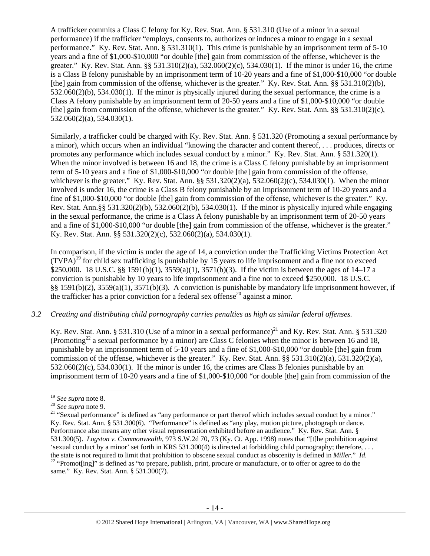A trafficker commits a Class C felony for Ky. Rev. Stat. Ann. § 531.310 (Use of a minor in a sexual performance) if the trafficker "employs, consents to, authorizes or induces a minor to engage in a sexual performance." Ky. Rev. Stat. Ann. § 531.310(1). This crime is punishable by an imprisonment term of 5-10 years and a fine of \$1,000-\$10,000 "or double [the] gain from commission of the offense, whichever is the greater." Ky. Rev. Stat. Ann. §§ 531.310(2)(a), 532.060(2)(c), 534.030(1). If the minor is under 16, the crime is a Class B felony punishable by an imprisonment term of 10-20 years and a fine of \$1,000-\$10,000 "or double [the] gain from commission of the offense, whichever is the greater." Ky. Rev. Stat. Ann. §§ 531.310(2)(b), 532.060(2)(b), 534.030(1). If the minor is physically injured during the sexual performance, the crime is a Class A felony punishable by an imprisonment term of 20-50 years and a fine of \$1,000-\$10,000 "or double [the] gain from commission of the offense, whichever is the greater." Ky. Rev. Stat. Ann. §§ 531.310(2)(c), 532.060(2)(a), 534.030(1).

Similarly, a trafficker could be charged with Ky. Rev. Stat. Ann. § 531.320 (Promoting a sexual performance by a minor), which occurs when an individual "knowing the character and content thereof, . . . produces, directs or promotes any performance which includes sexual conduct by a minor." Ky. Rev. Stat. Ann. § 531.320(1). When the minor involved is between 16 and 18, the crime is a Class C felony punishable by an imprisonment term of 5-10 years and a fine of \$1,000-\$10,000 "or double [the] gain from commission of the offense, whichever is the greater." Ky. Rev. Stat. Ann. §§ 531.320(2)(a), 532.060(2)(c), 534.030(1). When the minor involved is under 16, the crime is a Class B felony punishable by an imprisonment term of 10-20 years and a fine of \$1,000-\$10,000 "or double [the] gain from commission of the offense, whichever is the greater." Ky. Rev. Stat. Ann.§§ 531.320(2)(b), 532.060(2)(b), 534.030(1). If the minor is physically injured while engaging in the sexual performance, the crime is a Class A felony punishable by an imprisonment term of 20-50 years and a fine of \$1,000-\$10,000 "or double [the] gain from commission of the offense, whichever is the greater." Ky. Rev. Stat. Ann. §§ 531.320(2)(c), 532.060(2)(a), 534.030(1).

In comparison, if the victim is under the age of 14, a conviction under the Trafficking Victims Protection Act  $(TVPA)^{19}$  for child sex trafficking is punishable by 15 years to life imprisonment and a fine not to exceed \$250,000. 18 U.S.C. §§ 1591(b)(1), 3559(a)(1), 3571(b)(3). If the victim is between the ages of 14–17 a conviction is punishable by 10 years to life imprisonment and a fine not to exceed \$250,000. 18 U.S.C. §§ 1591(b)(2), 3559(a)(1), 3571(b)(3). A conviction is punishable by mandatory life imprisonment however, if the trafficker has a prior conviction for a federal sex offense<sup>20</sup> against a minor.

## *3.2 Creating and distributing child pornography carries penalties as high as similar federal offenses.*

Ky. Rev. Stat. Ann. § 531.310 (Use of a minor in a sexual performance)<sup>21</sup> and Ky. Rev. Stat. Ann. § 531.320 (Promoting<sup>22</sup> a sexual performance by a minor) are Class C felonies when the minor is between 16 and 18, punishable by an imprisonment term of 5-10 years and a fine of \$1,000-\$10,000 "or double [the] gain from commission of the offense, whichever is the greater." Ky. Rev. Stat. Ann. §§ 531.310(2)(a), 531.320(2)(a), 532.060(2)(c), 534.030(1). If the minor is under 16, the crimes are Class B felonies punishable by an imprisonment term of 10-20 years and a fine of \$1,000-\$10,000 "or double [the] gain from commission of the

<sup>&</sup>lt;sup>19</sup> *See supra* note 8.<br><sup>20</sup> *See supra* note 9.<br><sup>21</sup> "Sexual performance" is defined as "any performance or part thereof which includes sexual conduct by a minor." Ky. Rev. Stat. Ann. § 531.300(6). "Performance" is defined as "any play, motion picture, photograph or dance. Performance also means any other visual representation exhibited before an audience." Ky. Rev. Stat. Ann. § 531.300(5). *Logston v. Commonwealth*, 973 S.W.2d 70, 73 (Ky. Ct. App. 1998) notes that "[t]he prohibition against 'sexual conduct by a minor' set forth in KRS 531.300(4) is directed at forbidding child pornography; therefore, . . . the state is not required to limit that prohibition to obscene sexual conduct as obscenity is defined in *Miller.*" *Id.* <sup>22</sup> "Promot[ing]" is defined as "to prepare, publish, print, procure or manufacture, or to offer o same." Ky. Rev. Stat. Ann. § 531.300(7).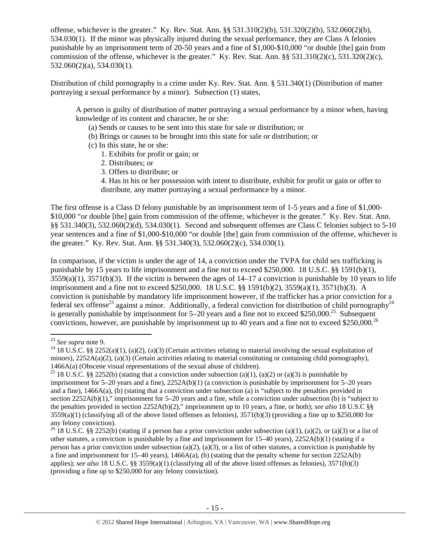offense, whichever is the greater." Ky. Rev. Stat. Ann. §§ 531.310(2)(b), 531.320(2)(b), 532.060(2)(b), 534.030(1). If the minor was physically injured during the sexual performance, they are Class A felonies punishable by an imprisonment term of 20-50 years and a fine of \$1,000-\$10,000 "or double [the] gain from commission of the offense, whichever is the greater." Ky. Rev. Stat. Ann. §§ 531.310(2)(c), 531.320(2)(c), 532.060(2)(a), 534.030(1).

Distribution of child pornography is a crime under Ky. Rev. Stat. Ann. § 531.340(1) (Distribution of matter portraying a sexual performance by a minor). Subsection (1) states,

A person is guilty of distribution of matter portraying a sexual performance by a minor when, having knowledge of its content and character, he or she:

- (a) Sends or causes to be sent into this state for sale or distribution; or
- (b) Brings or causes to be brought into this state for sale or distribution; or
- (c) In this state, he or she:
	- 1. Exhibits for profit or gain; or
	- 2. Distributes; or
	- 3. Offers to distribute; or
	- 4. Has in his or her possession with intent to distribute, exhibit for profit or gain or offer to distribute, any matter portraying a sexual performance by a minor.

The first offense is a Class D felony punishable by an imprisonment term of 1-5 years and a fine of \$1,000- \$10,000 "or double [the] gain from commission of the offense, whichever is the greater." Ky. Rev. Stat. Ann. §§ 531.340(3), 532.060(2)(d), 534.030(1). Second and subsequent offenses are Class C felonies subject to 5-10 year sentences and a fine of \$1,000-\$10,000 "or double [the] gain from commission of the offense, whichever is the greater." Ky. Rev. Stat. Ann. §§ 531.340(3), 532.060(2)(c), 534.030(1).

In comparison, if the victim is under the age of 14, a conviction under the TVPA for child sex trafficking is punishable by 15 years to life imprisonment and a fine not to exceed \$250,000. 18 U.S.C. §§ 1591(b)(1),  $3559(a)(1)$ ,  $3571(b)(3)$ . If the victim is between the ages of  $14-17$  a conviction is punishable by 10 years to life imprisonment and a fine not to exceed \$250,000. 18 U.S.C. §§ 1591(b)(2), 3559(a)(1), 3571(b)(3). A conviction is punishable by mandatory life imprisonment however, if the trafficker has a prior conviction for a federal sex offense<sup>23</sup> against a minor. Additionally, a federal conviction for distribution of child pornography<sup>24</sup> is generally punishable by imprisonment for  $5-20$  years and a fine not to exceed \$250,000.<sup>25</sup> Subsequent convictions, however, are punishable by imprisonment up to 40 years and a fine not to exceed \$250,000.26

<sup>&</sup>lt;sup>23</sup> See supra note 9.

<sup>&</sup>lt;sup>24</sup> 18 U.S.C. §§ 2252(a)(1), (a)(2), (a)(3) (Certain activities relating to material involving the sexual exploitation of minors),  $2252A(a)(2)$ ,  $(a)(3)$  (Certain activities relating to material constituting or containing child pornography), 1466A(a) (Obscene visual representations of the sexual abuse of children).<br><sup>25</sup> 18 U.S.C. §§ 2252(b) (stating that a conviction under subsection (a)(1), (a)(2) or (a)(3) is punishable by

imprisonment for 5–20 years and a fine), 2252A(b)(1) (a conviction is punishable by imprisonment for 5–20 years and a fine), 1466A(a), (b) (stating that a conviction under subsection (a) is "subject to the penalties provided in section 2252A(b)(1)," imprisonment for 5–20 years and a fine, while a conviction under subsection (b) is "subject to the penalties provided in section 2252A(b)(2)," imprisonment up to 10 years, a fine, or both); *see also* 18 U.S.C §§  $3559(a)(1)$  (classifying all of the above listed offenses as felonies),  $3571(b)(3)$  (providing a fine up to \$250,000 for any felony conviction).

<sup>&</sup>lt;sup>26</sup> 18 U.S.C. §§ 2252(b) (stating if a person has a prior conviction under subsection (a)(1), (a)(2), or (a)(3) or a list of other statutes, a conviction is punishable by a fine and imprisonment for  $15-40$  years),  $2252A(b)(1)$  (stating if a person has a prior conviction under subsection (a)(2), (a)(3), or a list of other statutes, a conviction is punishable by a fine and imprisonment for 15–40 years), 1466A(a), (b) (stating that the penalty scheme for section 2252A(b) applies); *see also* 18 U.S.C. §§ 3559(a)(1) (classifying all of the above listed offenses as felonies), 3571(b)(3) (providing a fine up to \$250,000 for any felony conviction).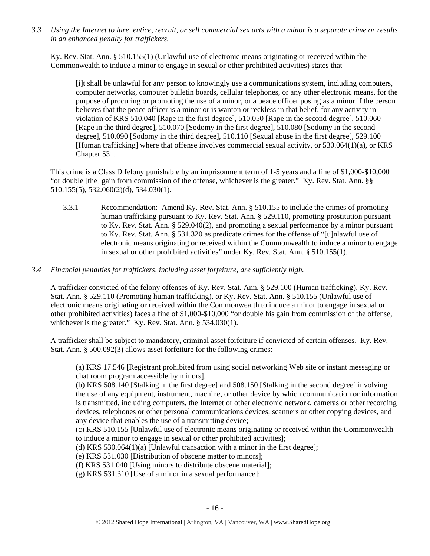*3.3 Using the Internet to lure, entice, recruit, or sell commercial sex acts with a minor is a separate crime or results in an enhanced penalty for traffickers.* 

Ky. Rev. Stat. Ann. § 510.155(1) (Unlawful use of electronic means originating or received within the Commonwealth to induce a minor to engage in sexual or other prohibited activities) states that

[i]t shall be unlawful for any person to knowingly use a communications system, including computers, computer networks, computer bulletin boards, cellular telephones, or any other electronic means, for the purpose of procuring or promoting the use of a minor, or a peace officer posing as a minor if the person believes that the peace officer is a minor or is wanton or reckless in that belief, for any activity in violation of KRS 510.040 [Rape in the first degree], 510.050 [Rape in the second degree], 510.060 [Rape in the third degree], 510.070 [Sodomy in the first degree], 510.080 [Sodomy in the second degree], 510.090 [Sodomy in the third degree], 510.110 [Sexual abuse in the first degree], 529.100 [Human trafficking] where that offense involves commercial sexual activity, or 530.064(1)(a), or KRS Chapter 531.

This crime is a Class D felony punishable by an imprisonment term of 1-5 years and a fine of \$1,000-\$10,000 "or double [the] gain from commission of the offense, whichever is the greater." Ky. Rev. Stat. Ann. §§ 510.155(5), 532.060(2)(d), 534.030(1).

- 3.3.1 Recommendation: Amend Ky. Rev. Stat. Ann. § 510.155 to include the crimes of promoting human trafficking pursuant to Ky. Rev. Stat. Ann. § 529.110, promoting prostitution pursuant to Ky. Rev. Stat. Ann. § 529.040(2), and promoting a sexual performance by a minor pursuant to Ky. Rev. Stat. Ann. § 531.320 as predicate crimes for the offense of "[u]nlawful use of electronic means originating or received within the Commonwealth to induce a minor to engage in sexual or other prohibited activities" under Ky. Rev. Stat. Ann. § 510.155(1).
- *3.4 Financial penalties for traffickers, including asset forfeiture, are sufficiently high.*

A trafficker convicted of the felony offenses of Ky. Rev. Stat. Ann. § 529.100 (Human trafficking), Ky. Rev. Stat. Ann. § 529.110 (Promoting human trafficking), or Ky. Rev. Stat. Ann. § 510.155 (Unlawful use of electronic means originating or received within the Commonwealth to induce a minor to engage in sexual or other prohibited activities) faces a fine of \$1,000-\$10,000 "or double his gain from commission of the offense, whichever is the greater." Ky. Rev. Stat. Ann. § 534.030(1).

A trafficker shall be subject to mandatory, criminal asset forfeiture if convicted of certain offenses. Ky. Rev. Stat. Ann. § 500.092(3) allows asset forfeiture for the following crimes:

(a) KRS 17.546 [Registrant prohibited from using social networking Web site or instant messaging or chat room program accessible by minors].

(b) KRS 508.140 [Stalking in the first degree] and 508.150 [Stalking in the second degree] involving the use of any equipment, instrument, machine, or other device by which communication or information is transmitted, including computers, the Internet or other electronic network, cameras or other recording devices, telephones or other personal communications devices, scanners or other copying devices, and any device that enables the use of a transmitting device;

(c) KRS 510.155 [Unlawful use of electronic means originating or received within the Commonwealth to induce a minor to engage in sexual or other prohibited activities];

(d) KRS 530.064(1)(a) [Unlawful transaction with a minor in the first degree];

(e) KRS 531.030 [Distribution of obscene matter to minors];

(f) KRS 531.040 [Using minors to distribute obscene material];

(g) KRS 531.310 [Use of a minor in a sexual performance];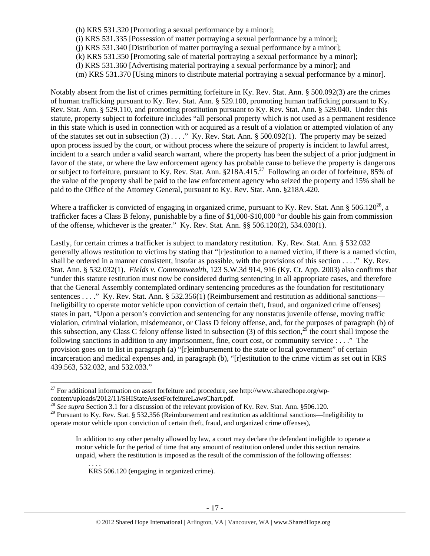- (h) KRS 531.320 [Promoting a sexual performance by a minor];
- (i) KRS 531.335 [Possession of matter portraying a sexual performance by a minor];
- (j) KRS 531.340 [Distribution of matter portraying a sexual performance by a minor];
- (k) KRS 531.350 [Promoting sale of material portraying a sexual performance by a minor];
- (l) KRS 531.360 [Advertising material portraying a sexual performance by a minor]; and
- (m) KRS 531.370 [Using minors to distribute material portraying a sexual performance by a minor].

Notably absent from the list of crimes permitting forfeiture in Ky. Rev. Stat. Ann. § 500.092(3) are the crimes of human trafficking pursuant to Ky. Rev. Stat. Ann. § 529.100, promoting human trafficking pursuant to Ky. Rev. Stat. Ann. § 529.110, and promoting prostitution pursuant to Ky. Rev. Stat. Ann. § 529.040. Under this statute, property subject to forfeiture includes "all personal property which is not used as a permanent residence in this state which is used in connection with or acquired as a result of a violation or attempted violation of any of the statutes set out in subsection (3) . . . ." Ky. Rev. Stat. Ann. § 500.092(1). The property may be seized upon process issued by the court, or without process where the seizure of property is incident to lawful arrest, incident to a search under a valid search warrant, where the property has been the subject of a prior judgment in favor of the state, or where the law enforcement agency has probable cause to believe the property is dangerous or subject to forfeiture, pursuant to Ky. Rev. Stat. Ann. §218A.415.27 Following an order of forfeiture, 85% of the value of the property shall be paid to the law enforcement agency who seized the property and 15% shall be paid to the Office of the Attorney General, pursuant to Ky. Rev. Stat. Ann. §218A.420.

Where a trafficker is convicted of engaging in organized crime, pursuant to Ky. Rev. Stat. Ann  $\S 506.120^{28}$ , a trafficker faces a Class B felony, punishable by a fine of \$1,000-\$10,000 "or double his gain from commission of the offense, whichever is the greater." Ky. Rev. Stat. Ann. §§ 506.120(2), 534.030(1).

Lastly, for certain crimes a trafficker is subject to mandatory restitution. Ky. Rev. Stat. Ann. § 532.032 generally allows restitution to victims by stating that "[r]estitution to a named victim, if there is a named victim, shall be ordered in a manner consistent, insofar as possible, with the provisions of this section . . . ." Ky. Rev. Stat. Ann. § 532.032(1). *Fields v. Commonwealth*, 123 S.W.3d 914, 916 (Ky. Ct. App. 2003) also confirms that "under this statute restitution must now be considered during sentencing in all appropriate cases, and therefore that the General Assembly contemplated ordinary sentencing procedures as the foundation for restitutionary sentences . . . ." Ky. Rev. Stat. Ann. § 532.356(1) (Reimbursement and restitution as additional sanctions— Ineligibility to operate motor vehicle upon conviction of certain theft, fraud, and organized crime offenses) states in part, "Upon a person's conviction and sentencing for any nonstatus juvenile offense, moving traffic violation, criminal violation, misdemeanor, or Class D felony offense, and, for the purposes of paragraph (b) of this subsection, any Class C felony offense listed in subsection (3) of this section,  $^{29}$  the court shall impose the following sanctions in addition to any imprisonment, fine, court cost, or community service : . . ." The provision goes on to list in paragraph (a) "[r]eimbursement to the state or local government" of certain incarceration and medical expenses and, in paragraph (b), "[r]estitution to the crime victim as set out in KRS 439.563, 532.032, and 532.033."

KRS 506.120 (engaging in organized crime).

. . . .

<sup>&</sup>lt;sup>27</sup> For additional information on asset forfeiture and procedure, see http://www.sharedhope.org/wpcontent/uploads/2012/11/SHIStateAssetForfeitureLawsChart.pdf.<br><sup>28</sup> *See supra* Section 3.1 for a discussion of the relevant provision of Ky. Rev. Stat. Ann. §506.120.

<sup>&</sup>lt;sup>29</sup> Pursuant to Ky. Rev. Stat. § 532.356 (Reimbursement and restitution as additional sanctions—Ineligibility to operate motor vehicle upon conviction of certain theft, fraud, and organized crime offenses),

In addition to any other penalty allowed by law, a court may declare the defendant ineligible to operate a motor vehicle for the period of time that any amount of restitution ordered under this section remains unpaid, where the restitution is imposed as the result of the commission of the following offenses: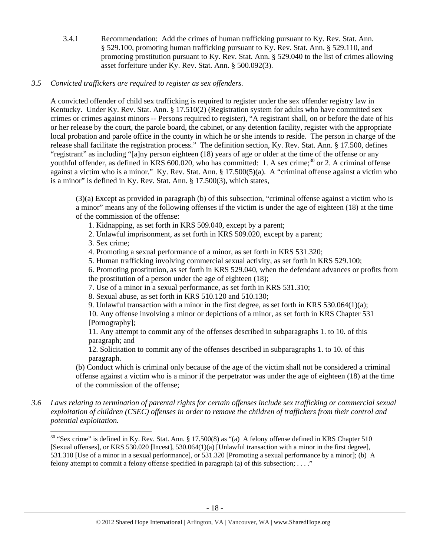3.4.1 Recommendation: Add the crimes of human trafficking pursuant to Ky. Rev. Stat. Ann. § 529.100, promoting human trafficking pursuant to Ky. Rev. Stat. Ann. § 529.110, and promoting prostitution pursuant to Ky. Rev. Stat. Ann. § 529.040 to the list of crimes allowing asset forfeiture under Ky. Rev. Stat. Ann. § 500.092(3).

# *3.5 Convicted traffickers are required to register as sex offenders.*

A convicted offender of child sex trafficking is required to register under the sex offender registry law in Kentucky. Under Ky. Rev. Stat. Ann. § 17.510(2) (Registration system for adults who have committed sex crimes or crimes against minors -- Persons required to register), "A registrant shall, on or before the date of his or her release by the court, the parole board, the cabinet, or any detention facility, register with the appropriate local probation and parole office in the county in which he or she intends to reside. The person in charge of the release shall facilitate the registration process." The definition section, Ky. Rev. Stat. Ann. § 17.500, defines "registrant" as including "[a]ny person eighteen (18) years of age or older at the time of the offense or any youthful offender, as defined in KRS 600.020, who has committed: 1. A sex crime;<sup>30</sup> or 2. A criminal offense against a victim who is a minor." Ky. Rev. Stat. Ann. § 17.500(5)(a). A "criminal offense against a victim who is a minor" is defined in Ky. Rev. Stat. Ann. § 17.500(3), which states,

(3)(a) Except as provided in paragraph (b) of this subsection, "criminal offense against a victim who is a minor" means any of the following offenses if the victim is under the age of eighteen (18) at the time of the commission of the offense:

- 1. Kidnapping, as set forth in KRS 509.040, except by a parent;
- 2. Unlawful imprisonment, as set forth in KRS 509.020, except by a parent;
- 3. Sex crime;

- 4. Promoting a sexual performance of a minor, as set forth in KRS 531.320;
- 5. Human trafficking involving commercial sexual activity, as set forth in KRS 529.100;

6. Promoting prostitution, as set forth in KRS 529.040, when the defendant advances or profits from the prostitution of a person under the age of eighteen (18);

- 7. Use of a minor in a sexual performance, as set forth in KRS 531.310;
- 8. Sexual abuse, as set forth in KRS 510.120 and 510.130;
- 9. Unlawful transaction with a minor in the first degree, as set forth in KRS 530.064(1)(a);

10. Any offense involving a minor or depictions of a minor, as set forth in KRS Chapter 531 [Pornography];

11. Any attempt to commit any of the offenses described in subparagraphs 1. to 10. of this paragraph; and

12. Solicitation to commit any of the offenses described in subparagraphs 1. to 10. of this paragraph.

(b) Conduct which is criminal only because of the age of the victim shall not be considered a criminal offense against a victim who is a minor if the perpetrator was under the age of eighteen (18) at the time of the commission of the offense;

*3.6 Laws relating to termination of parental rights for certain offenses include sex trafficking or commercial sexual exploitation of children (CSEC) offenses in order to remove the children of traffickers from their control and potential exploitation.* 

<sup>&</sup>lt;sup>30</sup> "Sex crime" is defined in Ky. Rev. Stat. Ann. § 17.500(8) as "(a) A felony offense defined in KRS Chapter 510 [Sexual offenses], or KRS 530.020 [Incest], 530.064(1)(a) [Unlawful transaction with a minor in the first degree], 531.310 [Use of a minor in a sexual performance], or 531.320 [Promoting a sexual performance by a minor]; (b) A felony attempt to commit a felony offense specified in paragraph (a) of this subsection; . . . ."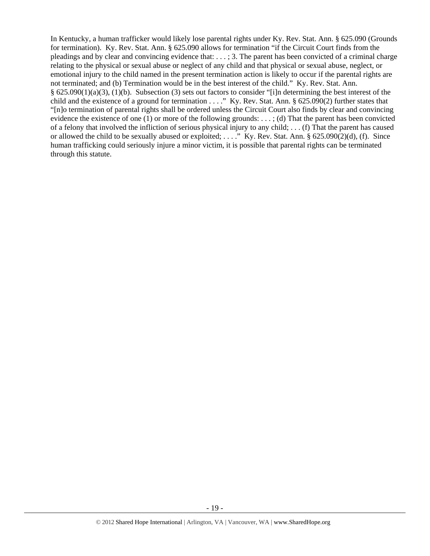In Kentucky, a human trafficker would likely lose parental rights under Ky. Rev. Stat. Ann. § 625.090 (Grounds for termination). Ky. Rev. Stat. Ann. § 625.090 allows for termination "if the Circuit Court finds from the pleadings and by clear and convincing evidence that: . . . ; 3. The parent has been convicted of a criminal charge relating to the physical or sexual abuse or neglect of any child and that physical or sexual abuse, neglect, or emotional injury to the child named in the present termination action is likely to occur if the parental rights are not terminated; and (b) Termination would be in the best interest of the child." Ky. Rev. Stat. Ann. § 625.090(1)(a)(3), (1)(b). Subsection (3) sets out factors to consider "[i]n determining the best interest of the child and the existence of a ground for termination . . . ." Ky. Rev. Stat. Ann. § 625.090(2) further states that "[n]o termination of parental rights shall be ordered unless the Circuit Court also finds by clear and convincing evidence the existence of one (1) or more of the following grounds: . . . ; (d) That the parent has been convicted of a felony that involved the infliction of serious physical injury to any child; . . . (f) That the parent has caused or allowed the child to be sexually abused or exploited; . . . ." Ky. Rev. Stat. Ann. § 625.090(2)(d), (f). Since human trafficking could seriously injure a minor victim, it is possible that parental rights can be terminated through this statute.

- 19 -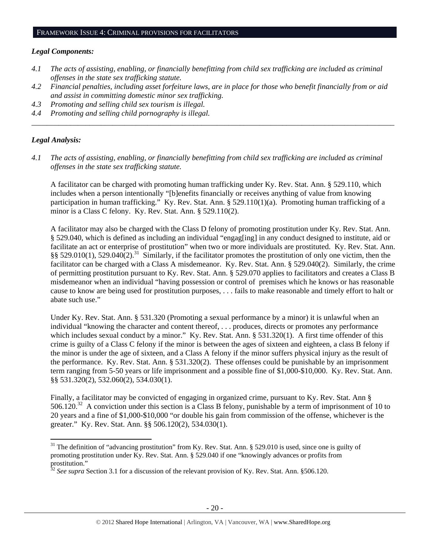#### *Legal Components:*

- *4.1 The acts of assisting, enabling, or financially benefitting from child sex trafficking are included as criminal offenses in the state sex trafficking statute.*
- *4.2 Financial penalties, including asset forfeiture laws, are in place for those who benefit financially from or aid and assist in committing domestic minor sex trafficking.*

*\_\_\_\_\_\_\_\_\_\_\_\_\_\_\_\_\_\_\_\_\_\_\_\_\_\_\_\_\_\_\_\_\_\_\_\_\_\_\_\_\_\_\_\_\_\_\_\_\_\_\_\_\_\_\_\_\_\_\_\_\_\_\_\_\_\_\_\_\_\_\_\_\_\_\_\_\_\_\_\_\_\_\_\_\_\_\_\_\_\_\_\_\_\_* 

*4.3 Promoting and selling child sex tourism is illegal.* 

*4.4 Promoting and selling child pornography is illegal.* 

#### *Legal Analysis:*

*4.1 The acts of assisting, enabling, or financially benefitting from child sex trafficking are included as criminal offenses in the state sex trafficking statute.*

A facilitator can be charged with promoting human trafficking under Ky. Rev. Stat. Ann. § 529.110, which includes when a person intentionally "[b]enefits financially or receives anything of value from knowing participation in human trafficking." Ky. Rev. Stat. Ann. § 529.110(1)(a). Promoting human trafficking of a minor is a Class C felony. Ky. Rev. Stat. Ann. § 529.110(2).

A facilitator may also be charged with the Class D felony of promoting prostitution under Ky. Rev. Stat. Ann. § 529.040, which is defined as including an individual "engag[ing] in any conduct designed to institute, aid or facilitate an act or enterprise of prostitution" when two or more individuals are prostituted. Ky. Rev. Stat. Ann. §§ 529.010(1), 529.040(2).<sup>31</sup> Similarly, if the facilitator promotes the prostitution of only one victim, then the facilitator can be charged with a Class A misdemeanor. Ky. Rev. Stat. Ann. § 529.040(2). Similarly, the crime of permitting prostitution pursuant to Ky. Rev. Stat. Ann. § 529.070 applies to facilitators and creates a Class B misdemeanor when an individual "having possession or control of premises which he knows or has reasonable cause to know are being used for prostitution purposes, . . . fails to make reasonable and timely effort to halt or abate such use."

Under Ky. Rev. Stat. Ann. § 531.320 (Promoting a sexual performance by a minor) it is unlawful when an individual "knowing the character and content thereof, . . . produces, directs or promotes any performance which includes sexual conduct by a minor." Ky. Rev. Stat. Ann. § 531.320(1). A first time offender of this crime is guilty of a Class C felony if the minor is between the ages of sixteen and eighteen, a class B felony if the minor is under the age of sixteen, and a Class A felony if the minor suffers physical injury as the result of the performance. Ky. Rev. Stat. Ann. § 531.320(2). These offenses could be punishable by an imprisonment term ranging from 5-50 years or life imprisonment and a possible fine of \$1,000-\$10,000. Ky. Rev. Stat. Ann. §§ 531.320(2), 532.060(2), 534.030(1).

Finally, a facilitator may be convicted of engaging in organized crime, pursuant to Ky. Rev. Stat. Ann § 506.120.<sup>32</sup> A conviction under this section is a Class B felony, punishable by a term of imprisonment of 10 to 20 years and a fine of \$1,000-\$10,000 "or double his gain from commission of the offense, whichever is the greater." Ky. Rev. Stat. Ann. §§ 506.120(2), 534.030(1).

<sup>&</sup>lt;sup>31</sup> The definition of "advancing prostitution" from Ky. Rev. Stat. Ann. § 529.010 is used, since one is guilty of promoting prostitution under Ky. Rev. Stat. Ann. § 529.040 if one "knowingly advances or profits from prostitution."

<sup>32</sup> *See supra* Section 3.1 for a discussion of the relevant provision of Ky. Rev. Stat. Ann. §506.120.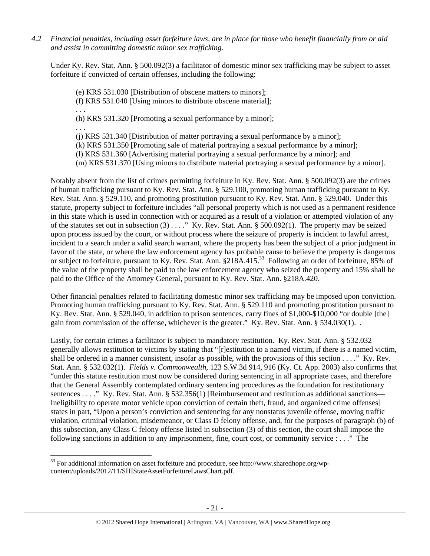*4.2 Financial penalties, including asset forfeiture laws, are in place for those who benefit financially from or aid and assist in committing domestic minor sex trafficking.* 

Under Ky. Rev. Stat. Ann. § 500.092(3) a facilitator of domestic minor sex trafficking may be subject to asset forfeiture if convicted of certain offenses, including the following:

- (e) KRS 531.030 [Distribution of obscene matters to minors];
- (f) KRS 531.040 [Using minors to distribute obscene material];
- . . . (h) KRS 531.320 [Promoting a sexual performance by a minor];

. . .

- (j) KRS 531.340 [Distribution of matter portraying a sexual performance by a minor];
- (k) KRS 531.350 [Promoting sale of material portraying a sexual performance by a minor];
- (l) KRS 531.360 [Advertising material portraying a sexual performance by a minor]; and
- (m) KRS 531.370 [Using minors to distribute material portraying a sexual performance by a minor].

Notably absent from the list of crimes permitting forfeiture in Ky. Rev. Stat. Ann. § 500.092(3) are the crimes of human trafficking pursuant to Ky. Rev. Stat. Ann. § 529.100, promoting human trafficking pursuant to Ky. Rev. Stat. Ann. § 529.110, and promoting prostitution pursuant to Ky. Rev. Stat. Ann. § 529.040. Under this statute, property subject to forfeiture includes "all personal property which is not used as a permanent residence in this state which is used in connection with or acquired as a result of a violation or attempted violation of any of the statutes set out in subsection (3) . . . ." Ky. Rev. Stat. Ann. § 500.092(1). The property may be seized upon process issued by the court, or without process where the seizure of property is incident to lawful arrest, incident to a search under a valid search warrant, where the property has been the subject of a prior judgment in favor of the state, or where the law enforcement agency has probable cause to believe the property is dangerous or subject to forfeiture, pursuant to Ky. Rev. Stat. Ann. §218A.415.<sup>33</sup> Following an order of forfeiture, 85% of the value of the property shall be paid to the law enforcement agency who seized the property and 15% shall be paid to the Office of the Attorney General, pursuant to Ky. Rev. Stat. Ann. §218A.420.

Other financial penalties related to facilitating domestic minor sex trafficking may be imposed upon conviction. Promoting human trafficking pursuant to Ky. Rev. Stat. Ann. § 529.110 and promoting prostitution pursuant to Ky. Rev. Stat. Ann. § 529.040, in addition to prison sentences, carry fines of \$1,000-\$10,000 "or double [the] gain from commission of the offense, whichever is the greater." Ky. Rev. Stat. Ann. § 534.030(1). .

Lastly, for certain crimes a facilitator is subject to mandatory restitution. Ky. Rev. Stat. Ann. § 532.032 generally allows restitution to victims by stating that "[r]estitution to a named victim, if there is a named victim, shall be ordered in a manner consistent, insofar as possible, with the provisions of this section . . . ." Ky. Rev. Stat. Ann. § 532.032(1). *Fields v. Commonwealth*, 123 S.W.3d 914, 916 (Ky. Ct. App. 2003) also confirms that "under this statute restitution must now be considered during sentencing in all appropriate cases, and therefore that the General Assembly contemplated ordinary sentencing procedures as the foundation for restitutionary sentences . . . ." Ky. Rev. Stat. Ann. § 532.356(1) [Reimbursement and restitution as additional sanctions— Ineligibility to operate motor vehicle upon conviction of certain theft, fraud, and organized crime offenses] states in part, "Upon a person's conviction and sentencing for any nonstatus juvenile offense, moving traffic violation, criminal violation, misdemeanor, or Class D felony offense, and, for the purposes of paragraph (b) of this subsection, any Class C felony offense listed in subsection (3) of this section, the court shall impose the following sanctions in addition to any imprisonment, fine, court cost, or community service : . . ." The

 <sup>33</sup> For additional information on asset forfeiture and procedure, see http://www.sharedhope.org/wpcontent/uploads/2012/11/SHIStateAssetForfeitureLawsChart.pdf.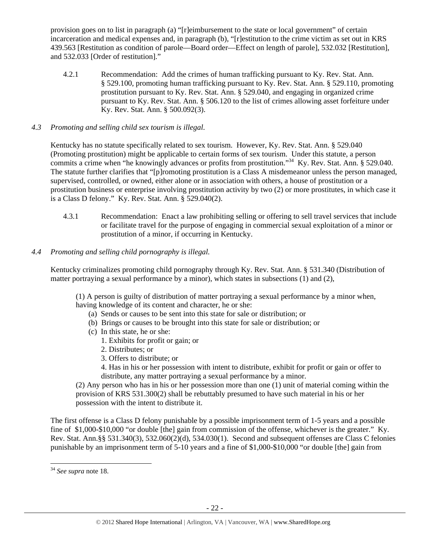provision goes on to list in paragraph (a) "[r]eimbursement to the state or local government" of certain incarceration and medical expenses and, in paragraph (b), "[r]estitution to the crime victim as set out in KRS 439.563 [Restitution as condition of parole—Board order—Effect on length of parole], 532.032 [Restitution], and 532.033 [Order of restitution]."

- 4.2.1 Recommendation: Add the crimes of human trafficking pursuant to Ky. Rev. Stat. Ann. § 529.100, promoting human trafficking pursuant to Ky. Rev. Stat. Ann. § 529.110, promoting prostitution pursuant to Ky. Rev. Stat. Ann. § 529.040, and engaging in organized crime pursuant to Ky. Rev. Stat. Ann. § 506.120 to the list of crimes allowing asset forfeiture under Ky. Rev. Stat. Ann. § 500.092(3).
- *4.3 Promoting and selling child sex tourism is illegal*.

Kentucky has no statute specifically related to sex tourism. However, Ky. Rev. Stat. Ann. § 529.040 (Promoting prostitution) might be applicable to certain forms of sex tourism. Under this statute, a person commits a crime when "he knowingly advances or profits from prostitution."<sup>34</sup> Ky. Rev. Stat. Ann. § 529.040. The statute further clarifies that "[p]romoting prostitution is a Class A misdemeanor unless the person managed, supervised, controlled, or owned, either alone or in association with others, a house of prostitution or a prostitution business or enterprise involving prostitution activity by two (2) or more prostitutes, in which case it is a Class D felony." Ky. Rev. Stat. Ann. § 529.040(2).

- 4.3.1 Recommendation: Enact a law prohibiting selling or offering to sell travel services that include or facilitate travel for the purpose of engaging in commercial sexual exploitation of a minor or prostitution of a minor, if occurring in Kentucky.
- *4.4 Promoting and selling child pornography is illegal.*

Kentucky criminalizes promoting child pornography through Ky. Rev. Stat. Ann. § 531.340 (Distribution of matter portraying a sexual performance by a minor), which states in subsections (1) and (2),

(1) A person is guilty of distribution of matter portraying a sexual performance by a minor when, having knowledge of its content and character, he or she:

- (a) Sends or causes to be sent into this state for sale or distribution; or
- (b) Brings or causes to be brought into this state for sale or distribution; or
- (c) In this state, he or she:
	- 1. Exhibits for profit or gain; or
	- 2. Distributes; or
	- 3. Offers to distribute; or
	- 4. Has in his or her possession with intent to distribute, exhibit for profit or gain or offer to distribute, any matter portraying a sexual performance by a minor.

(2) Any person who has in his or her possession more than one (1) unit of material coming within the provision of KRS 531.300(2) shall be rebuttably presumed to have such material in his or her possession with the intent to distribute it.

The first offense is a Class D felony punishable by a possible imprisonment term of 1-5 years and a possible fine of \$1,000-\$10,000 "or double [the] gain from commission of the offense, whichever is the greater." Ky. Rev. Stat. Ann.§§ 531.340(3), 532.060(2)(d), 534.030(1). Second and subsequent offenses are Class C felonies punishable by an imprisonment term of 5-10 years and a fine of \$1,000-\$10,000 "or double [the] gain from

<sup>34</sup> *See supra* note 18.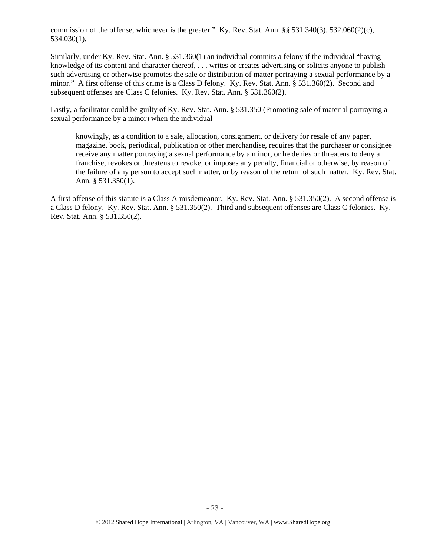commission of the offense, whichever is the greater." Ky. Rev. Stat. Ann. §§ 531.340(3), 532.060(2)(c), 534.030(1).

Similarly, under Ky. Rev. Stat. Ann. § 531.360(1) an individual commits a felony if the individual "having knowledge of its content and character thereof, . . . writes or creates advertising or solicits anyone to publish such advertising or otherwise promotes the sale or distribution of matter portraying a sexual performance by a minor." A first offense of this crime is a Class D felony. Ky. Rev. Stat. Ann. § 531.360(2). Second and subsequent offenses are Class C felonies. Ky. Rev. Stat. Ann. § 531.360(2).

Lastly, a facilitator could be guilty of Ky. Rev. Stat. Ann. § 531.350 (Promoting sale of material portraying a sexual performance by a minor) when the individual

knowingly, as a condition to a sale, allocation, consignment, or delivery for resale of any paper, magazine, book, periodical, publication or other merchandise, requires that the purchaser or consignee receive any matter portraying a sexual performance by a minor, or he denies or threatens to deny a franchise, revokes or threatens to revoke, or imposes any penalty, financial or otherwise, by reason of the failure of any person to accept such matter, or by reason of the return of such matter. Ky. Rev. Stat. Ann. § 531.350(1).

A first offense of this statute is a Class A misdemeanor. Ky. Rev. Stat. Ann. § 531.350(2). A second offense is a Class D felony. Ky. Rev. Stat. Ann. § 531.350(2). Third and subsequent offenses are Class C felonies. Ky. Rev. Stat. Ann. § 531.350(2).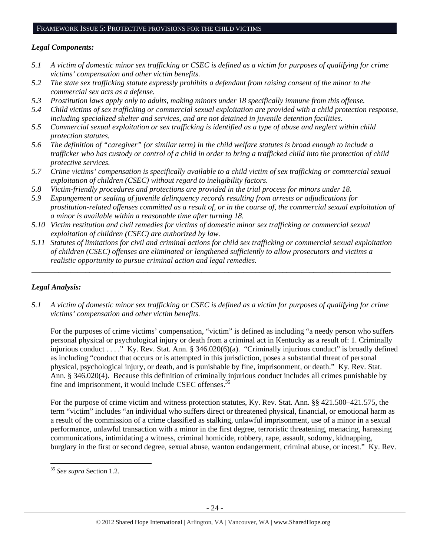#### FRAMEWORK ISSUE 5: PROTECTIVE PROVISIONS FOR THE CHILD VICTIMS

## *Legal Components:*

- *5.1 A victim of domestic minor sex trafficking or CSEC is defined as a victim for purposes of qualifying for crime victims' compensation and other victim benefits.*
- *5.2 The state sex trafficking statute expressly prohibits a defendant from raising consent of the minor to the commercial sex acts as a defense.*
- *5.3 Prostitution laws apply only to adults, making minors under 18 specifically immune from this offense.*
- *5.4 Child victims of sex trafficking or commercial sexual exploitation are provided with a child protection response, including specialized shelter and services, and are not detained in juvenile detention facilities.*
- *5.5 Commercial sexual exploitation or sex trafficking is identified as a type of abuse and neglect within child protection statutes.*
- *5.6 The definition of "caregiver" (or similar term) in the child welfare statutes is broad enough to include a trafficker who has custody or control of a child in order to bring a trafficked child into the protection of child protective services.*
- *5.7 Crime victims' compensation is specifically available to a child victim of sex trafficking or commercial sexual exploitation of children (CSEC) without regard to ineligibility factors.*
- *5.8 Victim-friendly procedures and protections are provided in the trial process for minors under 18.*
- *5.9 Expungement or sealing of juvenile delinquency records resulting from arrests or adjudications for prostitution-related offenses committed as a result of, or in the course of, the commercial sexual exploitation of a minor is available within a reasonable time after turning 18.*
- *5.10 Victim restitution and civil remedies for victims of domestic minor sex trafficking or commercial sexual exploitation of children (CSEC) are authorized by law.*
- *5.11 Statutes of limitations for civil and criminal actions for child sex trafficking or commercial sexual exploitation of children (CSEC) offenses are eliminated or lengthened sufficiently to allow prosecutors and victims a realistic opportunity to pursue criminal action and legal remedies.*

*\_\_\_\_\_\_\_\_\_\_\_\_\_\_\_\_\_\_\_\_\_\_\_\_\_\_\_\_\_\_\_\_\_\_\_\_\_\_\_\_\_\_\_\_\_\_\_\_\_\_\_\_\_\_\_\_\_\_\_\_\_\_\_\_\_\_\_\_\_\_\_\_\_\_\_\_\_\_\_\_\_\_\_\_\_\_\_\_\_\_\_\_\_* 

# *Legal Analysis:*

*5.1 A victim of domestic minor sex trafficking or CSEC is defined as a victim for purposes of qualifying for crime victims' compensation and other victim benefits.* 

For the purposes of crime victims' compensation, "victim" is defined as including "a needy person who suffers personal physical or psychological injury or death from a criminal act in Kentucky as a result of: 1. Criminally injurious conduct . . . ." Ky. Rev. Stat. Ann. § 346.020(6)(a). "Criminally injurious conduct" is broadly defined as including "conduct that occurs or is attempted in this jurisdiction, poses a substantial threat of personal physical, psychological injury, or death, and is punishable by fine, imprisonment, or death." Ky. Rev. Stat. Ann. § 346.020(4). Because this definition of criminally injurious conduct includes all crimes punishable by fine and imprisonment, it would include CSEC offenses.<sup>35</sup>

For the purpose of crime victim and witness protection statutes, Ky. Rev. Stat. Ann. §§ 421.500–421.575, the term "victim" includes "an individual who suffers direct or threatened physical, financial, or emotional harm as a result of the commission of a crime classified as stalking, unlawful imprisonment, use of a minor in a sexual performance, unlawful transaction with a minor in the first degree, terroristic threatening, menacing, harassing communications, intimidating a witness, criminal homicide, robbery, rape, assault, sodomy, kidnapping, burglary in the first or second degree, sexual abuse, wanton endangerment, criminal abuse, or incest." Ky. Rev.

<sup>35</sup> *See supra* Section 1.2.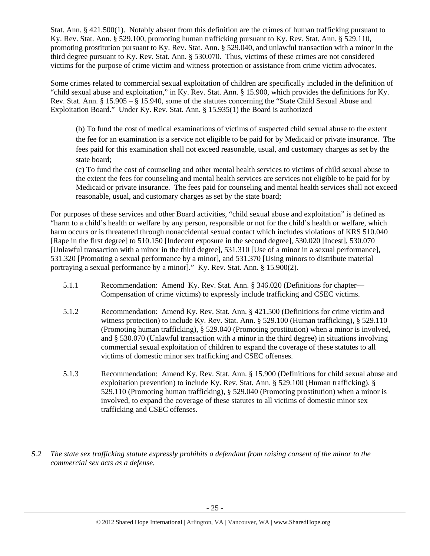Stat. Ann. § 421.500(1). Notably absent from this definition are the crimes of human trafficking pursuant to Ky. Rev. Stat. Ann. § 529.100, promoting human trafficking pursuant to Ky. Rev. Stat. Ann. § 529.110, promoting prostitution pursuant to Ky. Rev. Stat. Ann. § 529.040, and unlawful transaction with a minor in the third degree pursuant to Ky. Rev. Stat. Ann. § 530.070. Thus, victims of these crimes are not considered victims for the purpose of crime victim and witness protection or assistance from crime victim advocates.

Some crimes related to commercial sexual exploitation of children are specifically included in the definition of "child sexual abuse and exploitation," in Ky. Rev. Stat. Ann. § 15.900, which provides the definitions for Ky. Rev. Stat. Ann. § 15.905 – § 15.940, some of the statutes concerning the "State Child Sexual Abuse and Exploitation Board." Under Ky. Rev. Stat. Ann. § 15.935(1) the Board is authorized

(b) To fund the cost of medical examinations of victims of suspected child sexual abuse to the extent the fee for an examination is a service not eligible to be paid for by Medicaid or private insurance. The fees paid for this examination shall not exceed reasonable, usual, and customary charges as set by the state board;

(c) To fund the cost of counseling and other mental health services to victims of child sexual abuse to the extent the fees for counseling and mental health services are services not eligible to be paid for by Medicaid or private insurance. The fees paid for counseling and mental health services shall not exceed reasonable, usual, and customary charges as set by the state board;

For purposes of these services and other Board activities, "child sexual abuse and exploitation" is defined as "harm to a child's health or welfare by any person, responsible or not for the child's health or welfare, which harm occurs or is threatened through nonaccidental sexual contact which includes violations of KRS 510.040 [Rape in the first degree] to 510.150 [Indecent exposure in the second degree], 530.020 [Incest], 530.070 [Unlawful transaction with a minor in the third degree], 531.310 [Use of a minor in a sexual performance], 531.320 [Promoting a sexual performance by a minor], and 531.370 [Using minors to distribute material portraying a sexual performance by a minor]." Ky. Rev. Stat. Ann. § 15.900(2).

- 5.1.1 Recommendation: Amend Ky. Rev. Stat. Ann. § 346.020 (Definitions for chapter— Compensation of crime victims) to expressly include trafficking and CSEC victims.
- 5.1.2 Recommendation: Amend Ky. Rev. Stat. Ann. § 421.500 (Definitions for crime victim and witness protection) to include Ky. Rev. Stat. Ann. § 529.100 (Human trafficking), § 529.110 (Promoting human trafficking), § 529.040 (Promoting prostitution) when a minor is involved, and § 530.070 (Unlawful transaction with a minor in the third degree) in situations involving commercial sexual exploitation of children to expand the coverage of these statutes to all victims of domestic minor sex trafficking and CSEC offenses.
- 5.1.3 Recommendation: Amend Ky. Rev. Stat. Ann. § 15.900 (Definitions for child sexual abuse and exploitation prevention) to include Ky. Rev. Stat. Ann. § 529.100 (Human trafficking), § 529.110 (Promoting human trafficking), § 529.040 (Promoting prostitution) when a minor is involved, to expand the coverage of these statutes to all victims of domestic minor sex trafficking and CSEC offenses.
- *5.2 The state sex trafficking statute expressly prohibits a defendant from raising consent of the minor to the commercial sex acts as a defense.*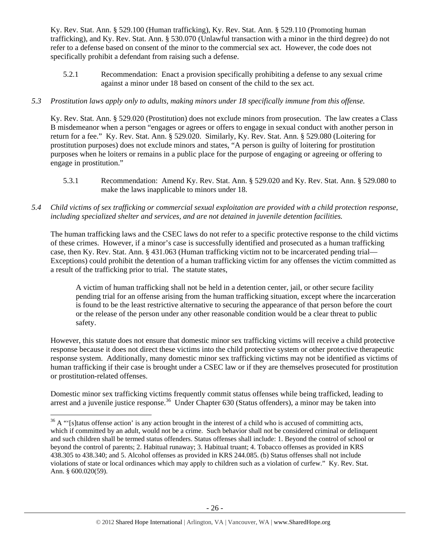Ky. Rev. Stat. Ann. § 529.100 (Human trafficking), Ky. Rev. Stat. Ann. § 529.110 (Promoting human trafficking), and Ky. Rev. Stat. Ann. § 530.070 (Unlawful transaction with a minor in the third degree) do not refer to a defense based on consent of the minor to the commercial sex act. However, the code does not specifically prohibit a defendant from raising such a defense.

5.2.1 Recommendation: Enact a provision specifically prohibiting a defense to any sexual crime against a minor under 18 based on consent of the child to the sex act.

# *5.3 Prostitution laws apply only to adults, making minors under 18 specifically immune from this offense.*

Ky. Rev. Stat. Ann. § 529.020 (Prostitution) does not exclude minors from prosecution. The law creates a Class B misdemeanor when a person "engages or agrees or offers to engage in sexual conduct with another person in return for a fee." Ky. Rev. Stat. Ann. § 529.020. Similarly, Ky. Rev. Stat. Ann. § 529.080 (Loitering for prostitution purposes) does not exclude minors and states, "A person is guilty of loitering for prostitution purposes when he loiters or remains in a public place for the purpose of engaging or agreeing or offering to engage in prostitution."

- 5.3.1 Recommendation: Amend Ky. Rev. Stat. Ann. § 529.020 and Ky. Rev. Stat. Ann. § 529.080 to make the laws inapplicable to minors under 18.
- *5.4 Child victims of sex trafficking or commercial sexual exploitation are provided with a child protection response, including specialized shelter and services, and are not detained in juvenile detention facilities.*

The human trafficking laws and the CSEC laws do not refer to a specific protective response to the child victims of these crimes. However, if a minor's case is successfully identified and prosecuted as a human trafficking case, then Ky. Rev. Stat. Ann. § 431.063 (Human trafficking victim not to be incarcerated pending trial— Exceptions) could prohibit the detention of a human trafficking victim for any offenses the victim committed as a result of the trafficking prior to trial. The statute states,

A victim of human trafficking shall not be held in a detention center, jail, or other secure facility pending trial for an offense arising from the human trafficking situation, except where the incarceration is found to be the least restrictive alternative to securing the appearance of that person before the court or the release of the person under any other reasonable condition would be a clear threat to public safety.

However, this statute does not ensure that domestic minor sex trafficking victims will receive a child protective response because it does not direct these victims into the child protective system or other protective therapeutic response system. Additionally, many domestic minor sex trafficking victims may not be identified as victims of human trafficking if their case is brought under a CSEC law or if they are themselves prosecuted for prostitution or prostitution-related offenses.

Domestic minor sex trafficking victims frequently commit status offenses while being trafficked, leading to arrest and a juvenile justice response.<sup>36</sup> Under Chapter 630 (Status offenders), a minor may be taken into

 $36$  A "'[s]tatus offense action' is any action brought in the interest of a child who is accused of committing acts, which if committed by an adult, would not be a crime. Such behavior shall not be considered criminal or delinquent and such children shall be termed status offenders. Status offenses shall include: 1. Beyond the control of school or beyond the control of parents; 2. Habitual runaway; 3. Habitual truant; 4. Tobacco offenses as provided in KRS 438.305 to 438.340; and 5. Alcohol offenses as provided in KRS 244.085. (b) Status offenses shall not include violations of state or local ordinances which may apply to children such as a violation of curfew." Ky. Rev. Stat. Ann. § 600.020(59).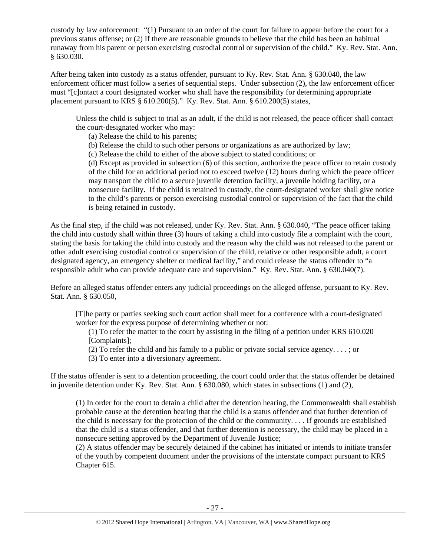custody by law enforcement: "(1) Pursuant to an order of the court for failure to appear before the court for a previous status offense; or (2) If there are reasonable grounds to believe that the child has been an habitual runaway from his parent or person exercising custodial control or supervision of the child." Ky. Rev. Stat. Ann. § 630.030.

After being taken into custody as a status offender, pursuant to Ky. Rev. Stat. Ann. § 630.040, the law enforcement officer must follow a series of sequential steps. Under subsection (2), the law enforcement officer must "[c]ontact a court designated worker who shall have the responsibility for determining appropriate placement pursuant to KRS  $\S$  610.200(5)." Ky. Rev. Stat. Ann.  $\S$  610.200(5) states,

Unless the child is subject to trial as an adult, if the child is not released, the peace officer shall contact the court-designated worker who may:

(a) Release the child to his parents;

- (b) Release the child to such other persons or organizations as are authorized by law;
- (c) Release the child to either of the above subject to stated conditions; or

(d) Except as provided in subsection (6) of this section, authorize the peace officer to retain custody of the child for an additional period not to exceed twelve (12) hours during which the peace officer may transport the child to a secure juvenile detention facility, a juvenile holding facility, or a nonsecure facility. If the child is retained in custody, the court-designated worker shall give notice to the child's parents or person exercising custodial control or supervision of the fact that the child is being retained in custody.

As the final step, if the child was not released, under Ky. Rev. Stat. Ann. § 630.040, "The peace officer taking the child into custody shall within three (3) hours of taking a child into custody file a complaint with the court, stating the basis for taking the child into custody and the reason why the child was not released to the parent or other adult exercising custodial control or supervision of the child, relative or other responsible adult, a court designated agency, an emergency shelter or medical facility," and could release the status offender to "a responsible adult who can provide adequate care and supervision." Ky. Rev. Stat. Ann. § 630.040(7).

Before an alleged status offender enters any judicial proceedings on the alleged offense, pursuant to Ky. Rev. Stat. Ann. § 630.050,

[T]he party or parties seeking such court action shall meet for a conference with a court-designated worker for the express purpose of determining whether or not:

(1) To refer the matter to the court by assisting in the filing of a petition under KRS 610.020 [Complaints]:

(2) To refer the child and his family to a public or private social service agency. . . . ; or

(3) To enter into a diversionary agreement.

If the status offender is sent to a detention proceeding, the court could order that the status offender be detained in juvenile detention under Ky. Rev. Stat. Ann. § 630.080, which states in subsections (1) and (2),

(1) In order for the court to detain a child after the detention hearing, the Commonwealth shall establish probable cause at the detention hearing that the child is a status offender and that further detention of the child is necessary for the protection of the child or the community. . . . If grounds are established that the child is a status offender, and that further detention is necessary, the child may be placed in a nonsecure setting approved by the Department of Juvenile Justice;

(2) A status offender may be securely detained if the cabinet has initiated or intends to initiate transfer of the youth by competent document under the provisions of the interstate compact pursuant to KRS Chapter 615.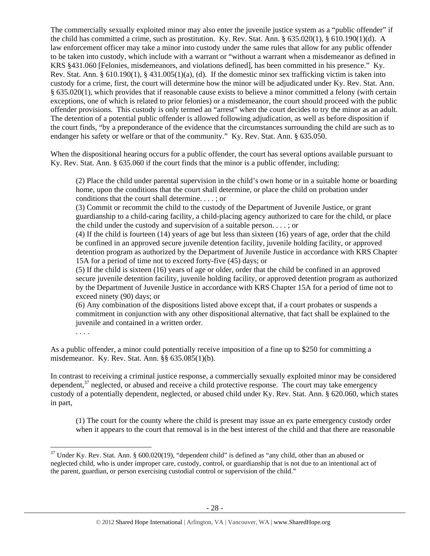The commercially sexually exploited minor may also enter the juvenile justice system as a "public offender" if the child has committed a crime, such as prostitution. Ky. Rev. Stat. Ann. § 635.020(1), § 610.190(1)(d). A law enforcement officer may take a minor into custody under the same rules that allow for any public offender to be taken into custody, which include with a warrant or "without a warrant when a misdemeanor as defined in KRS §431.060 [Felonies, misdemeanors, and violations defined], has been committed in his presence." Ky. Rev. Stat. Ann. § 610.190(1), § 431.005(1)(a), (d). If the domestic minor sex trafficking victim is taken into custody for a crime, first, the court will determine how the minor will be adjudicated under Ky. Rev. Stat. Ann. § 635.020(1), which provides that if reasonable cause exists to believe a minor committed a felony (with certain exceptions, one of which is related to prior felonies) or a misdemeanor, the court should proceed with the public offender provisions. This custody is only termed an "arrest" when the court decides to try the minor as an adult. The detention of a potential public offender is allowed following adjudication, as well as before disposition if the court finds, "by a preponderance of the evidence that the circumstances surrounding the child are such as to endanger his safety or welfare or that of the community." Ky. Rev. Stat. Ann. § 635.050.

When the dispositional hearing occurs for a public offender, the court has several options available pursuant to Ky. Rev. Stat. Ann. § 635.060 if the court finds that the minor is a public offender, including:

(2) Place the child under parental supervision in the child's own home or in a suitable home or boarding home, upon the conditions that the court shall determine, or place the child on probation under conditions that the court shall determine. . . . ; or

(3) Commit or recommit the child to the custody of the Department of Juvenile Justice, or grant guardianship to a child-caring facility, a child-placing agency authorized to care for the child, or place the child under the custody and supervision of a suitable person. . . . ; or

(4) If the child is fourteen (14) years of age but less than sixteen (16) years of age, order that the child be confined in an approved secure juvenile detention facility, juvenile holding facility, or approved detention program as authorized by the Department of Juvenile Justice in accordance with KRS Chapter 15A for a period of time not to exceed forty-five (45) days; or

(5) If the child is sixteen (16) years of age or older, order that the child be confined in an approved secure juvenile detention facility, juvenile holding facility, or approved detention program as authorized by the Department of Juvenile Justice in accordance with KRS Chapter 15A for a period of time not to exceed ninety (90) days; or

(6) Any combination of the dispositions listed above except that, if a court probates or suspends a commitment in conjunction with any other dispositional alternative, that fact shall be explained to the juvenile and contained in a written order.

. . . .

As a public offender, a minor could potentially receive imposition of a fine up to \$250 for committing a misdemeanor. Ky. Rev. Stat. Ann. §§ 635.085(1)(b).

In contrast to receiving a criminal justice response, a commercially sexually exploited minor may be considered dependent, $37$  neglected, or abused and receive a child protective response. The court may take emergency custody of a potentially dependent, neglected, or abused child under Ky. Rev. Stat. Ann. § 620.060, which states in part,

(1) The court for the county where the child is present may issue an ex parte emergency custody order when it appears to the court that removal is in the best interest of the child and that there are reasonable

 $37$  Under Ky. Rev. Stat. Ann. § 600.020(19), "dependent child" is defined as "any child, other than an abused or neglected child, who is under improper care, custody, control, or guardianship that is not due to an intentional act of the parent, guardian, or person exercising custodial control or supervision of the child."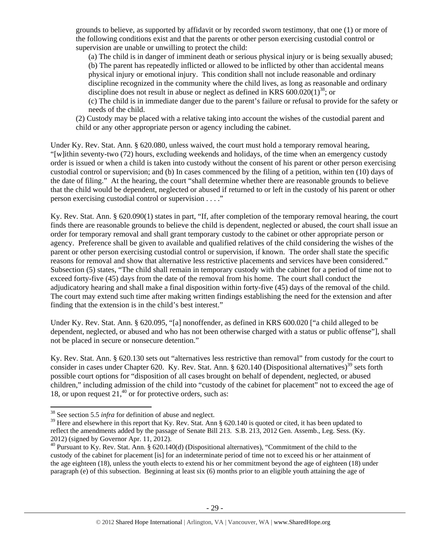grounds to believe, as supported by affidavit or by recorded sworn testimony, that one (1) or more of the following conditions exist and that the parents or other person exercising custodial control or supervision are unable or unwilling to protect the child:

(a) The child is in danger of imminent death or serious physical injury or is being sexually abused;

(b) The parent has repeatedly inflicted or allowed to be inflicted by other than accidental means physical injury or emotional injury. This condition shall not include reasonable and ordinary discipline recognized in the community where the child lives, as long as reasonable and ordinary discipline does not result in abuse or neglect as defined in KRS  $600.020(1)^{38}$ ; or

(c) The child is in immediate danger due to the parent's failure or refusal to provide for the safety or needs of the child.

(2) Custody may be placed with a relative taking into account the wishes of the custodial parent and child or any other appropriate person or agency including the cabinet.

Under Ky. Rev. Stat. Ann. § 620.080, unless waived, the court must hold a temporary removal hearing, "[w]ithin seventy-two (72) hours, excluding weekends and holidays, of the time when an emergency custody order is issued or when a child is taken into custody without the consent of his parent or other person exercising custodial control or supervision; and (b) In cases commenced by the filing of a petition, within ten (10) days of the date of filing." At the hearing, the court "shall determine whether there are reasonable grounds to believe that the child would be dependent, neglected or abused if returned to or left in the custody of his parent or other person exercising custodial control or supervision . . . ."

Ky. Rev. Stat. Ann. § 620.090(1) states in part, "If, after completion of the temporary removal hearing, the court finds there are reasonable grounds to believe the child is dependent, neglected or abused, the court shall issue an order for temporary removal and shall grant temporary custody to the cabinet or other appropriate person or agency. Preference shall be given to available and qualified relatives of the child considering the wishes of the parent or other person exercising custodial control or supervision, if known. The order shall state the specific reasons for removal and show that alternative less restrictive placements and services have been considered." Subsection (5) states, "The child shall remain in temporary custody with the cabinet for a period of time not to exceed forty-five (45) days from the date of the removal from his home. The court shall conduct the adjudicatory hearing and shall make a final disposition within forty-five (45) days of the removal of the child. The court may extend such time after making written findings establishing the need for the extension and after finding that the extension is in the child's best interest."

Under Ky. Rev. Stat. Ann. § 620.095, "[a] nonoffender, as defined in KRS 600.020 ["a child alleged to be dependent, neglected, or abused and who has not been otherwise charged with a status or public offense"], shall not be placed in secure or nonsecure detention."

Ky. Rev. Stat. Ann. § 620.130 sets out "alternatives less restrictive than removal" from custody for the court to consider in cases under Chapter 620. Ky. Rev. Stat. Ann. § 620.140 (Dispositional alternatives)<sup>39</sup> sets forth possible court options for "disposition of all cases brought on behalf of dependent, neglected, or abused children," including admission of the child into "custody of the cabinet for placement" not to exceed the age of 18, or upon request  $21<sup>40</sup>$  or for protective orders, such as:

 <sup>38</sup> See section 5.5 *infra* for definition of abuse and neglect.

<sup>&</sup>lt;sup>39</sup> Here and elsewhere in this report that Ky. Rev. Stat. Ann § 620.140 is quoted or cited, it has been updated to reflect the amendments added by the passage of Senate Bill 213. S.B. 213, 2012 Gen. Assemb., Leg. Sess. (Ky. 2012) (signed by Governor Apr. 11, 2012).

<sup>40</sup> Pursuant to Ky. Rev. Stat. Ann. § 620.140(d) (Dispositional alternatives), "Commitment of the child to the custody of the cabinet for placement [is] for an indeterminate period of time not to exceed his or her attainment of the age eighteen (18), unless the youth elects to extend his or her commitment beyond the age of eighteen (18) under paragraph (e) of this subsection. Beginning at least six (6) months prior to an eligible youth attaining the age of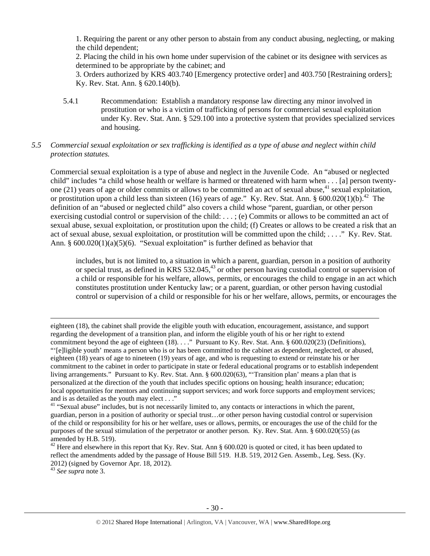1. Requiring the parent or any other person to abstain from any conduct abusing, neglecting, or making the child dependent;

2. Placing the child in his own home under supervision of the cabinet or its designee with services as determined to be appropriate by the cabinet; and

3. Orders authorized by KRS 403.740 [Emergency protective order] and 403.750 [Restraining orders]; Ky. Rev. Stat. Ann. § 620.140(b).

5.4.1 Recommendation: Establish a mandatory response law directing any minor involved in prostitution or who is a victim of trafficking of persons for commercial sexual exploitation under Ky. Rev. Stat. Ann. § 529.100 into a protective system that provides specialized services and housing.

## *5.5 Commercial sexual exploitation or sex trafficking is identified as a type of abuse and neglect within child protection statutes.*

Commercial sexual exploitation is a type of abuse and neglect in the Juvenile Code. An "abused or neglected child" includes "a child whose health or welfare is harmed or threatened with harm when . . . [a] person twentyone (21) years of age or older commits or allows to be committed an act of sexual abuse,<sup>41</sup> sexual exploitation, or prostitution upon a child less than sixteen (16) years of age." Ky. Rev. Stat. Ann. §  $600.020(1)(b)$ .<sup>42</sup> The definition of an "abused or neglected child" also covers a child whose "parent, guardian, or other person exercising custodial control or supervision of the child: . . . ; (e) Commits or allows to be committed an act of sexual abuse, sexual exploitation, or prostitution upon the child; (f) Creates or allows to be created a risk that an act of sexual abuse, sexual exploitation, or prostitution will be committed upon the child; . . . ." Ky. Rev. Stat. Ann. § 600.020(1)(a)(5)(6). "Sexual exploitation" is further defined as behavior that

includes, but is not limited to, a situation in which a parent, guardian, person in a position of authority or special trust, as defined in KRS  $532.045<sup>43</sup>$  or other person having custodial control or supervision of a child or responsible for his welfare, allows, permits, or encourages the child to engage in an act which constitutes prostitution under Kentucky law; or a parent, guardian, or other person having custodial control or supervision of a child or responsible for his or her welfare, allows, permits, or encourages the

<u> Andreas Andreas Andreas Andreas Andreas Andreas Andreas Andreas Andreas Andreas Andreas Andreas Andreas Andr</u>

<sup>43</sup> *See supra* note 3.

eighteen (18), the cabinet shall provide the eligible youth with education, encouragement, assistance, and support regarding the development of a transition plan, and inform the eligible youth of his or her right to extend commitment beyond the age of eighteen (18). . . ." Pursuant to Ky. Rev. Stat. Ann. § 600.020(23) (Definitions), "'[e]ligible youth' means a person who is or has been committed to the cabinet as dependent, neglected, or abused, eighteen (18) years of age to nineteen (19) years of age, and who is requesting to extend or reinstate his or her commitment to the cabinet in order to participate in state or federal educational programs or to establish independent living arrangements." Pursuant to Ky. Rev. Stat. Ann. § 600.020(63), "Transition plan' means a plan that is personalized at the direction of the youth that includes specific options on housing; health insurance; education; local opportunities for mentors and continuing support services; and work force supports and employment services; and is as detailed as the youth may elect . . ."

<sup>&</sup>lt;sup>41</sup> "Sexual abuse" includes, but is not necessarily limited to, any contacts or interactions in which the parent, guardian, person in a position of authority or special trust…or other person having custodial control or supervision of the child or responsibility for his or her welfare, uses or allows, permits, or encourages the use of the child for the purposes of the sexual stimulation of the perpetrator or another person. Ky. Rev. Stat. Ann. § 600.020(55) (as amended by H.B. 519).

 $42$  Here and elsewhere in this report that Ky. Rev. Stat. Ann § 600.020 is quoted or cited, it has been updated to reflect the amendments added by the passage of House Bill 519. H.B. 519, 2012 Gen. Assemb., Leg. Sess. (Ky. 2012) (signed by Governor Apr. 18, 2012).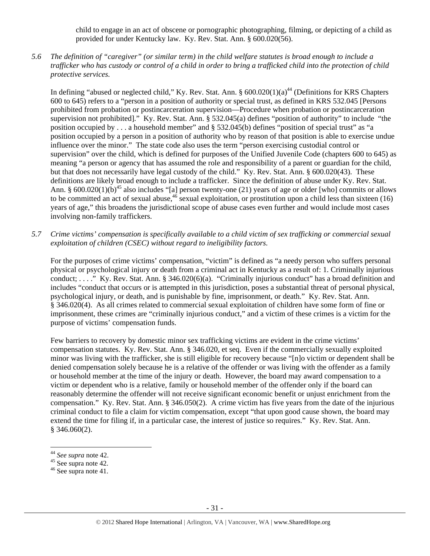child to engage in an act of obscene or pornographic photographing, filming, or depicting of a child as provided for under Kentucky law. Ky. Rev. Stat. Ann. § 600.020(56).

*5.6 The definition of "caregiver" (or similar term) in the child welfare statutes is broad enough to include a trafficker who has custody or control of a child in order to bring a trafficked child into the protection of child protective services.* 

In defining "abused or neglected child," Ky. Rev. Stat. Ann.  $\S 600.020(1)(a)^{44}$  (Definitions for KRS Chapters 600 to 645) refers to a "person in a position of authority or special trust, as defined in KRS 532.045 [Persons prohibited from probation or postincarceration supervision—Procedure when probation or postincarceration supervision not prohibited]." Ky. Rev. Stat. Ann. § 532.045(a) defines "position of authority" to include "the position occupied by . . . a household member" and § 532.045(b) defines "position of special trust" as "a position occupied by a person in a position of authority who by reason of that position is able to exercise undue influence over the minor." The state code also uses the term "person exercising custodial control or supervision" over the child, which is defined for purposes of the Unified Juvenile Code (chapters 600 to 645) as meaning "a person or agency that has assumed the role and responsibility of a parent or guardian for the child, but that does not necessarily have legal custody of the child." Ky. Rev. Stat. Ann. § 600.020(43). These definitions are likely broad enough to include a trafficker. Since the definition of abuse under Ky. Rev. Stat. Ann. §  $600.020(1)(b)^{45}$  also includes "[a] person twenty-one (21) years of age or older [who] commits or allows to be committed an act of sexual abuse,<sup>46</sup> sexual exploitation, or prostitution upon a child less than sixteen (16) years of age," this broadens the jurisdictional scope of abuse cases even further and would include most cases involving non-family traffickers.

*5.7 Crime victims' compensation is specifically available to a child victim of sex trafficking or commercial sexual exploitation of children (CSEC) without regard to ineligibility factors.* 

For the purposes of crime victims' compensation, "victim" is defined as "a needy person who suffers personal physical or psychological injury or death from a criminal act in Kentucky as a result of: 1. Criminally injurious conduct; . . . ." Ky. Rev. Stat. Ann. § 346.020(6)(a). "Criminally injurious conduct" has a broad definition and includes "conduct that occurs or is attempted in this jurisdiction, poses a substantial threat of personal physical, psychological injury, or death, and is punishable by fine, imprisonment, or death." Ky. Rev. Stat. Ann. § 346.020(4). As all crimes related to commercial sexual exploitation of children have some form of fine or imprisonment, these crimes are "criminally injurious conduct," and a victim of these crimes is a victim for the purpose of victims' compensation funds.

Few barriers to recovery by domestic minor sex trafficking victims are evident in the crime victims' compensation statutes. Ky. Rev. Stat. Ann. § 346.020, et seq. Even if the commercially sexually exploited minor was living with the trafficker, she is still eligible for recovery because "[n]o victim or dependent shall be denied compensation solely because he is a relative of the offender or was living with the offender as a family or household member at the time of the injury or death. However, the board may award compensation to a victim or dependent who is a relative, family or household member of the offender only if the board can reasonably determine the offender will not receive significant economic benefit or unjust enrichment from the compensation." Ky. Rev. Stat. Ann. § 346.050(2). A crime victim has five years from the date of the injurious criminal conduct to file a claim for victim compensation, except "that upon good cause shown, the board may extend the time for filing if, in a particular case, the interest of justice so requires." Ky. Rev. Stat. Ann.  $§$  346.060(2).

<sup>44</sup> *See supra* note 42. 45 See supra note 42.

<sup>46</sup> See supra note 41.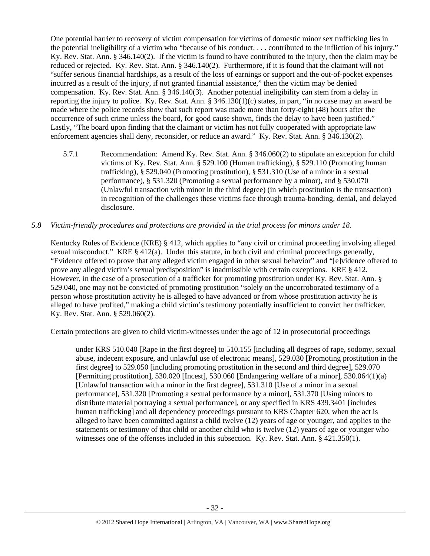One potential barrier to recovery of victim compensation for victims of domestic minor sex trafficking lies in the potential ineligibility of a victim who "because of his conduct, . . . contributed to the infliction of his injury." Ky. Rev. Stat. Ann. § 346.140(2). If the victim is found to have contributed to the injury, then the claim may be reduced or rejected. Ky. Rev. Stat. Ann. § 346.140(2). Furthermore, if it is found that the claimant will not "suffer serious financial hardships, as a result of the loss of earnings or support and the out-of-pocket expenses incurred as a result of the injury, if not granted financial assistance," then the victim may be denied compensation. Ky. Rev. Stat. Ann. § 346.140(3). Another potential ineligibility can stem from a delay in reporting the injury to police. Ky. Rev. Stat. Ann. § 346.130(1)(c) states, in part, "in no case may an award be made where the police records show that such report was made more than forty-eight (48) hours after the occurrence of such crime unless the board, for good cause shown, finds the delay to have been justified." Lastly, "The board upon finding that the claimant or victim has not fully cooperated with appropriate law enforcement agencies shall deny, reconsider, or reduce an award." Ky. Rev. Stat. Ann. § 346.130(2).

5.7.1 Recommendation: Amend Ky. Rev. Stat. Ann. § 346.060(2) to stipulate an exception for child victims of Ky. Rev. Stat. Ann. § 529.100 (Human trafficking), § 529.110 (Promoting human trafficking), § 529.040 (Promoting prostitution), § 531.310 (Use of a minor in a sexual performance), § 531.320 (Promoting a sexual performance by a minor), and § 530.070 (Unlawful transaction with minor in the third degree) (in which prostitution is the transaction) in recognition of the challenges these victims face through trauma-bonding, denial, and delayed disclosure.

## *5.8 Victim-friendly procedures and protections are provided in the trial process for minors under 18.*

Kentucky Rules of Evidence (KRE) § 412, which applies to "any civil or criminal proceeding involving alleged sexual misconduct." KRE § 412(a). Under this statute, in both civil and criminal proceedings generally, "Evidence offered to prove that any alleged victim engaged in other sexual behavior" and "[e]vidence offered to prove any alleged victim's sexual predisposition" is inadmissible with certain exceptions. KRE § 412. However, in the case of a prosecution of a trafficker for promoting prostitution under Ky. Rev. Stat. Ann. § 529.040, one may not be convicted of promoting prostitution "solely on the uncorroborated testimony of a person whose prostitution activity he is alleged to have advanced or from whose prostitution activity he is alleged to have profited," making a child victim's testimony potentially insufficient to convict her trafficker. Ky. Rev. Stat. Ann. § 529.060(2).

Certain protections are given to child victim-witnesses under the age of 12 in prosecutorial proceedings

under KRS 510.040 [Rape in the first degree] to 510.155 [including all degrees of rape, sodomy, sexual abuse, indecent exposure, and unlawful use of electronic means], 529.030 [Promoting prostitution in the first degree**]** to 529.050 [including promoting prostitution in the second and third degree], 529.070 [Permitting prostitution], 530.020 [Incest], 530.060 [Endangering welfare of a minor], 530.064(1)(a) [Unlawful transaction with a minor in the first degree], 531.310 [Use of a minor in a sexual performance], 531.320 [Promoting a sexual performance by a minor], 531.370 [Using minors to distribute material portraying a sexual performance], or any specified in KRS 439.3401 [includes human trafficking] and all dependency proceedings pursuant to KRS Chapter 620, when the act is alleged to have been committed against a child twelve (12) years of age or younger, and applies to the statements or testimony of that child or another child who is twelve (12) years of age or younger who witnesses one of the offenses included in this subsection. Ky. Rev. Stat. Ann. § 421.350(1).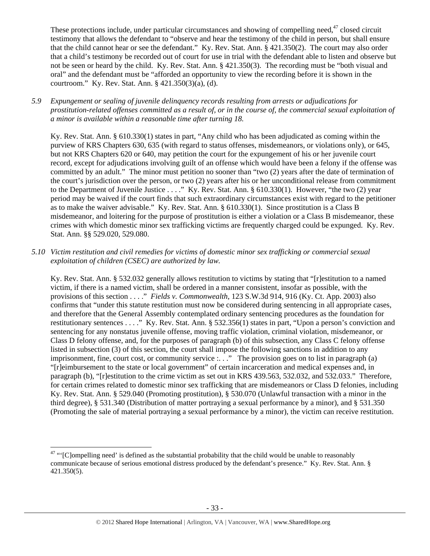These protections include, under particular circumstances and showing of compelling need,<sup>47</sup> closed circuit testimony that allows the defendant to "observe and hear the testimony of the child in person, but shall ensure that the child cannot hear or see the defendant." Ky. Rev. Stat. Ann. § 421.350(2). The court may also order that a child's testimony be recorded out of court for use in trial with the defendant able to listen and observe but not be seen or heard by the child. Ky. Rev. Stat. Ann. § 421.350(3). The recording must be "both visual and oral" and the defendant must be "afforded an opportunity to view the recording before it is shown in the courtroom." Ky. Rev. Stat. Ann. § 421.350(3)(a), (d).

*5.9 Expungement or sealing of juvenile delinquency records resulting from arrests or adjudications for prostitution-related offenses committed as a result of, or in the course of, the commercial sexual exploitation of a minor is available within a reasonable time after turning 18.* 

Ky. Rev. Stat. Ann. § 610.330(1) states in part, "Any child who has been adjudicated as coming within the purview of KRS Chapters 630, 635 (with regard to status offenses, misdemeanors, or violations only), or 645, but not KRS Chapters 620 or 640, may petition the court for the expungement of his or her juvenile court record, except for adjudications involving guilt of an offense which would have been a felony if the offense was committed by an adult." The minor must petition no sooner than "two (2) years after the date of termination of the court's jurisdiction over the person, or two (2) years after his or her unconditional release from commitment to the Department of Juvenile Justice . . . ." Ky. Rev. Stat. Ann. § 610.330(1). However, "the two (2) year period may be waived if the court finds that such extraordinary circumstances exist with regard to the petitioner as to make the waiver advisable." Ky. Rev. Stat. Ann. § 610.330(1). Since prostitution is a Class B misdemeanor, and loitering for the purpose of prostitution is either a violation or a Class B misdemeanor, these crimes with which domestic minor sex trafficking victims are frequently charged could be expunged. Ky. Rev. Stat. Ann. §§ 529.020, 529.080.

*5.10 Victim restitution and civil remedies for victims of domestic minor sex trafficking or commercial sexual exploitation of children (CSEC) are authorized by law.* 

Ky. Rev. Stat. Ann. § 532.032 generally allows restitution to victims by stating that "[r]estitution to a named victim, if there is a named victim, shall be ordered in a manner consistent, insofar as possible, with the provisions of this section . . . ." *Fields v. Commonwealth*, 123 S.W.3d 914, 916 (Ky. Ct. App. 2003) also confirms that "under this statute restitution must now be considered during sentencing in all appropriate cases, and therefore that the General Assembly contemplated ordinary sentencing procedures as the foundation for restitutionary sentences . . . ." Ky. Rev. Stat. Ann. § 532.356(1) states in part, "Upon a person's conviction and sentencing for any nonstatus juvenile offense, moving traffic violation, criminal violation, misdemeanor, or Class D felony offense, and, for the purposes of paragraph (b) of this subsection, any Class C felony offense listed in subsection (3) of this section, the court shall impose the following sanctions in addition to any imprisonment, fine, court cost, or community service :. . ." The provision goes on to list in paragraph (a) "[r]eimbursement to the state or local government" of certain incarceration and medical expenses and, in paragraph (b), "[r]estitution to the crime victim as set out in KRS 439.563, 532.032, and 532.033." Therefore, for certain crimes related to domestic minor sex trafficking that are misdemeanors or Class D felonies, including Ky. Rev. Stat. Ann. § 529.040 (Promoting prostitution), § 530.070 (Unlawful transaction with a minor in the third degree), § 531.340 (Distribution of matter portraying a sexual performance by a minor), and § 531.350 (Promoting the sale of material portraying a sexual performance by a minor), the victim can receive restitution.

 $47$  "' $[{\rm Clompelling} \text{ need'} \text{ is defined as the substantial probability that the child would be unable to reasonably}$ communicate because of serious emotional distress produced by the defendant's presence." Ky. Rev. Stat. Ann. § 421.350(5).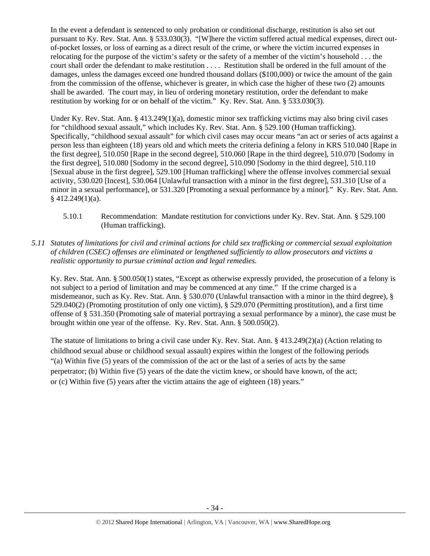In the event a defendant is sentenced to only probation or conditional discharge, restitution is also set out pursuant to Ky. Rev. Stat. Ann. § 533.030(3). "[W]here the victim suffered actual medical expenses, direct outof-pocket losses, or loss of earning as a direct result of the crime, or where the victim incurred expenses in relocating for the purpose of the victim's safety or the safety of a member of the victim's household . . . the court shall order the defendant to make restitution . . . . Restitution shall be ordered in the full amount of the damages, unless the damages exceed one hundred thousand dollars (\$100,000) or twice the amount of the gain from the commission of the offense, whichever is greater, in which case the higher of these two (2) amounts shall be awarded. The court may, in lieu of ordering monetary restitution, order the defendant to make restitution by working for or on behalf of the victim." Ky. Rev. Stat. Ann. § 533.030(3).

Under Ky. Rev. Stat. Ann. § 413.249(1)(a), domestic minor sex trafficking victims may also bring civil cases for "childhood sexual assault," which includes Ky. Rev. Stat. Ann. § 529.100 (Human trafficking). Specifically, "childhood sexual assault" for which civil cases may occur means "an act or series of acts against a person less than eighteen (18) years old and which meets the criteria defining a felony in KRS 510.040 [Rape in the first degree], 510.050 [Rape in the second degree], 510.060 [Rape in the third degree], 510.070 [Sodomy in the first degree], 510.080 [Sodomy in the second degree], 510.090 [Sodomy in the third degree], 510.110 [Sexual abuse in the first degree], 529.100 [Human trafficking] where the offense involves commercial sexual activity, 530.020 [Incest], 530.064 [Unlawful transaction with a minor in the first degree], 531.310 [Use of a minor in a sexual performance], or 531.320 [Promoting a sexual performance by a minor]." Ky. Rev. Stat. Ann.  $§$  412.249(1)(a).

- 5.10.1 Recommendation: Mandate restitution for convictions under Ky. Rev. Stat. Ann. § 529.100 (Human trafficking).
- *5.11 Statutes of limitations for civil and criminal actions for child sex trafficking or commercial sexual exploitation of children (CSEC) offenses are eliminated or lengthened sufficiently to allow prosecutors and victims a realistic opportunity to pursue criminal action and legal remedies.*

Ky. Rev. Stat. Ann. § 500.050(1) states, "Except as otherwise expressly provided, the prosecution of a felony is not subject to a period of limitation and may be commenced at any time." If the crime charged is a misdemeanor, such as Ky. Rev. Stat. Ann. § 530.070 (Unlawful transaction with a minor in the third degree), § 529.040(2) (Promoting prostitution of only one victim), § 529.070 (Permitting prostitution), and a first time offense of § 531.350 (Promoting sale of material portraying a sexual performance by a minor), the case must be brought within one year of the offense. Ky. Rev. Stat. Ann. § 500.050(2).

The statute of limitations to bring a civil case under Ky. Rev. Stat. Ann. § 413.249(2)(a) (Action relating to childhood sexual abuse or childhood sexual assault) expires within the longest of the following periods "(a) Within five (5) years of the commission of the act or the last of a series of acts by the same perpetrator; (b) Within five (5) years of the date the victim knew, or should have known, of the act; or (c) Within five (5) years after the victim attains the age of eighteen (18) years."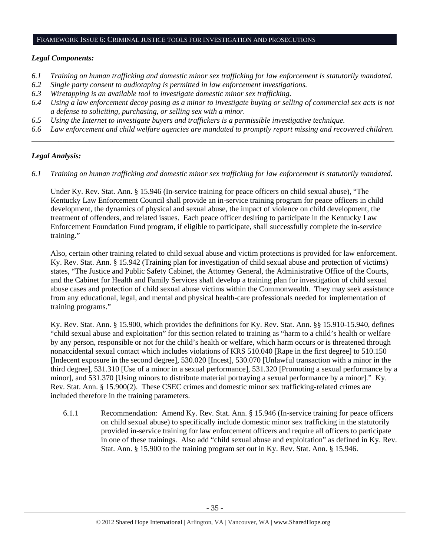# FRAMEWORK ISSUE 6: CRIMINAL JUSTICE TOOLS FOR INVESTIGATION AND PROSECUTIONS

# *Legal Components:*

- *6.1 Training on human trafficking and domestic minor sex trafficking for law enforcement is statutorily mandated.*
- *6.2 Single party consent to audiotaping is permitted in law enforcement investigations.*
- *6.3 Wiretapping is an available tool to investigate domestic minor sex trafficking.*
- *6.4 Using a law enforcement decoy posing as a minor to investigate buying or selling of commercial sex acts is not a defense to soliciting, purchasing, or selling sex with a minor.*
- *6.5 Using the Internet to investigate buyers and traffickers is a permissible investigative technique.*
- *6.6 Law enforcement and child welfare agencies are mandated to promptly report missing and recovered children. \_\_\_\_\_\_\_\_\_\_\_\_\_\_\_\_\_\_\_\_\_\_\_\_\_\_\_\_\_\_\_\_\_\_\_\_\_\_\_\_\_\_\_\_\_\_\_\_\_\_\_\_\_\_\_\_\_\_\_\_\_\_\_\_\_\_\_\_\_\_\_\_\_\_\_\_\_\_\_\_\_\_\_\_\_\_\_\_\_\_\_\_\_\_*

# *Legal Analysis:*

*6.1 Training on human trafficking and domestic minor sex trafficking for law enforcement is statutorily mandated.*

Under Ky. Rev. Stat. Ann. § 15.946 (In-service training for peace officers on child sexual abuse), "The Kentucky Law Enforcement Council shall provide an in-service training program for peace officers in child development, the dynamics of physical and sexual abuse, the impact of violence on child development, the treatment of offenders, and related issues. Each peace officer desiring to participate in the Kentucky Law Enforcement Foundation Fund program, if eligible to participate, shall successfully complete the in-service training."

Also, certain other training related to child sexual abuse and victim protections is provided for law enforcement. Ky. Rev. Stat. Ann. § 15.942 (Training plan for investigation of child sexual abuse and protection of victims) states, "The Justice and Public Safety Cabinet, the Attorney General, the Administrative Office of the Courts, and the Cabinet for Health and Family Services shall develop a training plan for investigation of child sexual abuse cases and protection of child sexual abuse victims within the Commonwealth. They may seek assistance from any educational, legal, and mental and physical health-care professionals needed for implementation of training programs."

Ky. Rev. Stat. Ann. § 15.900, which provides the definitions for Ky. Rev. Stat. Ann. §§ 15.910-15.940, defines "child sexual abuse and exploitation" for this section related to training as "harm to a child's health or welfare by any person, responsible or not for the child's health or welfare, which harm occurs or is threatened through nonaccidental sexual contact which includes violations of KRS 510.040 [Rape in the first degree] to 510.150 [Indecent exposure in the second degree], 530.020 [Incest], 530.070 [Unlawful transaction with a minor in the third degree], 531.310 [Use of a minor in a sexual performance], 531.320 [Promoting a sexual performance by a minor], and 531.370 [Using minors to distribute material portraying a sexual performance by a minor]." Ky. Rev. Stat. Ann. § 15.900(2). These CSEC crimes and domestic minor sex trafficking-related crimes are included therefore in the training parameters.

6.1.1 Recommendation: Amend Ky. Rev. Stat. Ann. § 15.946 (In-service training for peace officers on child sexual abuse) to specifically include domestic minor sex trafficking in the statutorily provided in-service training for law enforcement officers and require all officers to participate in one of these trainings. Also add "child sexual abuse and exploitation" as defined in Ky. Rev. Stat. Ann. § 15.900 to the training program set out in Ky. Rev. Stat. Ann. § 15.946.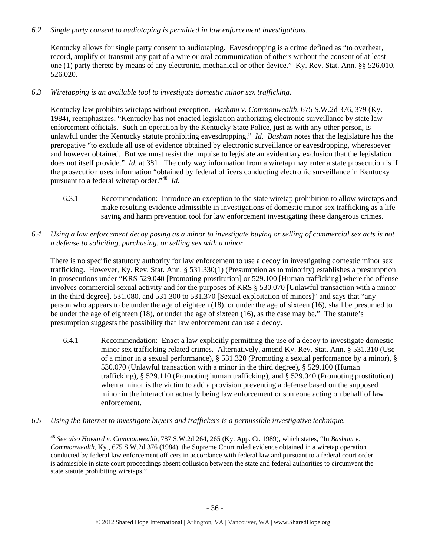# *6.2 Single party consent to audiotaping is permitted in law enforcement investigations.*

Kentucky allows for single party consent to audiotaping. Eavesdropping is a crime defined as "to overhear, record, amplify or transmit any part of a wire or oral communication of others without the consent of at least one (1) party thereto by means of any electronic, mechanical or other device." Ky. Rev. Stat. Ann. §§ 526.010, 526.020.

*6.3 Wiretapping is an available tool to investigate domestic minor sex trafficking.* 

Kentucky law prohibits wiretaps without exception. *Basham v. Commonwealth*, 675 S.W.2d 376, 379 (Ky. 1984), reemphasizes, "Kentucky has not enacted legislation authorizing electronic surveillance by state law enforcement officials. Such an operation by the Kentucky State Police, just as with any other person, is unlawful under the Kentucky statute prohibiting eavesdropping." *Id. Basham* notes that the legislature has the prerogative "to exclude all use of evidence obtained by electronic surveillance or eavesdropping, wheresoever and however obtained. But we must resist the impulse to legislate an evidentiary exclusion that the legislation does not itself provide." *Id.* at 381. The only way information from a wiretap may enter a state prosecution is if the prosecution uses information "obtained by federal officers conducting electronic surveillance in Kentucky pursuant to a federal wiretap order."48 *Id.*

- 6.3.1 Recommendation: Introduce an exception to the state wiretap prohibition to allow wiretaps and make resulting evidence admissible in investigations of domestic minor sex trafficking as a lifesaving and harm prevention tool for law enforcement investigating these dangerous crimes.
- *6.4 Using a law enforcement decoy posing as a minor to investigate buying or selling of commercial sex acts is not a defense to soliciting, purchasing, or selling sex with a minor.*

There is no specific statutory authority for law enforcement to use a decoy in investigating domestic minor sex trafficking. However, Ky. Rev. Stat. Ann. § 531.330(1) (Presumption as to minority) establishes a presumption in prosecutions under "KRS 529.040 [Promoting prostitution] or 529.100 [Human trafficking] where the offense involves commercial sexual activity and for the purposes of KRS § 530.070 [Unlawful transaction with a minor in the third degree], 531.080, and 531.300 to 531.370 [Sexual exploitation of minors]" and says that "any person who appears to be under the age of eighteen (18), or under the age of sixteen (16), shall be presumed to be under the age of eighteen (18), or under the age of sixteen (16), as the case may be." The statute's presumption suggests the possibility that law enforcement can use a decoy.

- 6.4.1 Recommendation: Enact a law explicitly permitting the use of a decoy to investigate domestic minor sex trafficking related crimes. Alternatively, amend Ky. Rev. Stat. Ann. § 531.310 (Use of a minor in a sexual performance), § 531.320 (Promoting a sexual performance by a minor), § 530.070 (Unlawful transaction with a minor in the third degree), § 529.100 (Human trafficking), § 529.110 (Promoting human trafficking), and § 529.040 (Promoting prostitution) when a minor is the victim to add a provision preventing a defense based on the supposed minor in the interaction actually being law enforcement or someone acting on behalf of law enforcement.
- *6.5 Using the Internet to investigate buyers and traffickers is a permissible investigative technique.*

<sup>48</sup> *See also Howard v. Commonwealth,* 787 S.W.2d 264, 265 (Ky. App. Ct. 1989), which states, "In *Basham v. Commonwealth*, Ky., 675 S.W.2d 376 (1984), the Supreme Court ruled evidence obtained in a wiretap operation conducted by federal law enforcement officers in accordance with federal law and pursuant to a federal court order is admissible in state court proceedings absent collusion between the state and federal authorities to circumvent the state statute prohibiting wiretaps."